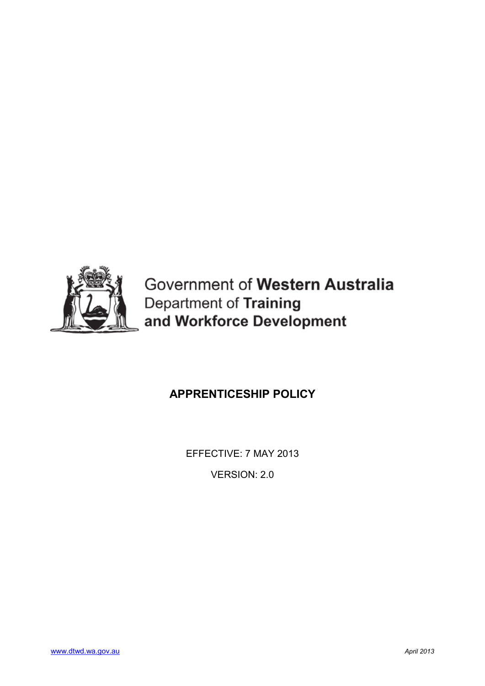

Government of Western Australia Department of Training and Workforce Development

# **APPRENTICESHIP POLICY**

EFFECTIVE: 7 MAY 2013

VERSION: 2.0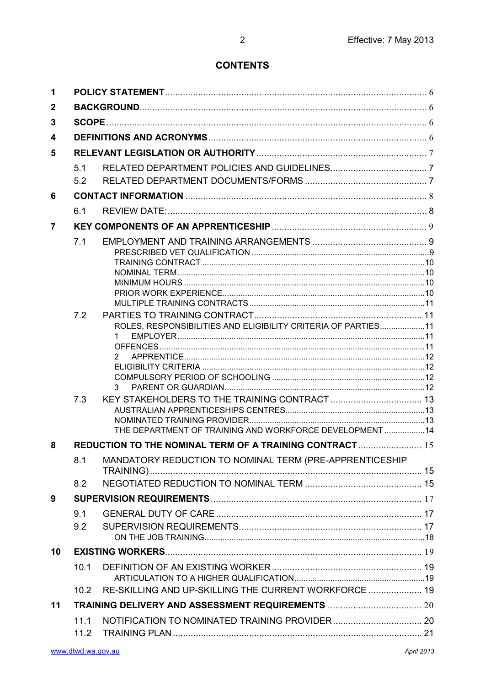## **CONTENTS**

| 1              |                   |                                                                         |  |  |
|----------------|-------------------|-------------------------------------------------------------------------|--|--|
| 2              |                   |                                                                         |  |  |
| 3              |                   |                                                                         |  |  |
| 4              |                   |                                                                         |  |  |
| 5              |                   |                                                                         |  |  |
|                | 5.1               |                                                                         |  |  |
|                | 5.2               |                                                                         |  |  |
| 6              |                   |                                                                         |  |  |
|                | 6.1               |                                                                         |  |  |
| $\overline{7}$ |                   |                                                                         |  |  |
|                | 7.1<br>7.2<br>7.3 | ROLES, RESPONSIBILITIES AND ELIGIBILITY CRITERIA OF PARTIES11<br>2<br>3 |  |  |
|                |                   | THE DEPARTMENT OF TRAINING AND WORKFORCE DEVELOPMENT 14                 |  |  |
| 8              |                   | REDUCTION TO THE NOMINAL TERM OF A TRAINING CONTRACT  15                |  |  |
|                | 8.1               | MANDATORY REDUCTION TO NOMINAL TERM (PRE-APPRENTICESHIP                 |  |  |
|                | 8.2               |                                                                         |  |  |
| 9              |                   |                                                                         |  |  |
|                | 9.1               |                                                                         |  |  |
|                | 9.2               |                                                                         |  |  |
| 10             |                   |                                                                         |  |  |
|                | 10.1              |                                                                         |  |  |
|                |                   |                                                                         |  |  |
|                | 10.2              | RE-SKILLING AND UP-SKILLING THE CURRENT WORKFORCE  19                   |  |  |
| 11             |                   |                                                                         |  |  |
|                | 11.1              |                                                                         |  |  |
|                | 11.2              |                                                                         |  |  |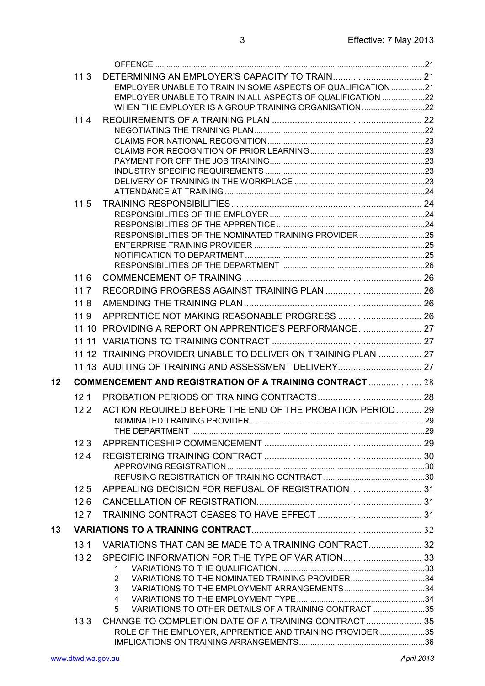|    | 11.3 |                                                                                                                  |  |
|----|------|------------------------------------------------------------------------------------------------------------------|--|
|    |      | EMPLOYER UNABLE TO TRAIN IN SOME ASPECTS OF QUALIFICATION 21                                                     |  |
|    |      | EMPLOYER UNABLE TO TRAIN IN ALL ASPECTS OF QUALIFICATION 22                                                      |  |
|    |      | WHEN THE EMPLOYER IS A GROUP TRAINING ORGANISATION22                                                             |  |
|    | 11.4 |                                                                                                                  |  |
|    |      |                                                                                                                  |  |
|    |      |                                                                                                                  |  |
|    |      |                                                                                                                  |  |
|    |      |                                                                                                                  |  |
|    |      |                                                                                                                  |  |
|    |      |                                                                                                                  |  |
|    | 11.5 |                                                                                                                  |  |
|    |      |                                                                                                                  |  |
|    |      |                                                                                                                  |  |
|    |      | RESPONSIBILITIES OF THE NOMINATED TRAINING PROVIDER 25                                                           |  |
|    |      |                                                                                                                  |  |
|    |      |                                                                                                                  |  |
|    | 11.6 |                                                                                                                  |  |
|    | 11.7 |                                                                                                                  |  |
|    | 11.8 |                                                                                                                  |  |
|    | 11.9 |                                                                                                                  |  |
|    |      | 11.10 PROVIDING A REPORT ON APPRENTICE'S PERFORMANCE 27                                                          |  |
|    |      |                                                                                                                  |  |
|    |      |                                                                                                                  |  |
|    |      | 11.12 TRAINING PROVIDER UNABLE TO DELIVER ON TRAINING PLAN  27                                                   |  |
|    |      | 11.13 AUDITING OF TRAINING AND ASSESSMENT DELIVERY 27                                                            |  |
| 12 |      | <b>COMMENCEMENT AND REGISTRATION OF A TRAINING CONTRACT  28</b>                                                  |  |
|    | 12.1 |                                                                                                                  |  |
|    | 12.2 | ACTION REQUIRED BEFORE THE END OF THE PROBATION PERIOD  29                                                       |  |
|    |      |                                                                                                                  |  |
|    |      |                                                                                                                  |  |
|    | 12.3 |                                                                                                                  |  |
|    | 12.4 |                                                                                                                  |  |
|    |      |                                                                                                                  |  |
|    |      |                                                                                                                  |  |
|    | 12.5 | APPEALING DECISION FOR REFUSAL OF REGISTRATION  31                                                               |  |
|    | 12.6 |                                                                                                                  |  |
|    | 12.7 |                                                                                                                  |  |
| 13 |      |                                                                                                                  |  |
|    | 13.1 | VARIATIONS THAT CAN BE MADE TO A TRAINING CONTRACT 32                                                            |  |
|    | 13.2 | SPECIFIC INFORMATION FOR THE TYPE OF VARIATION 33                                                                |  |
|    |      | 1                                                                                                                |  |
|    |      | VARIATIONS TO THE NOMINATED TRAINING PROVIDER34<br>2                                                             |  |
|    |      | 3                                                                                                                |  |
|    |      | 4                                                                                                                |  |
|    |      | VARIATIONS TO OTHER DETAILS OF A TRAINING CONTRACT 35<br>5                                                       |  |
|    | 13.3 | CHANGE TO COMPLETION DATE OF A TRAINING CONTRACT 35<br>ROLE OF THE EMPLOYER, APPRENTICE AND TRAINING PROVIDER 35 |  |
|    |      |                                                                                                                  |  |
|    |      |                                                                                                                  |  |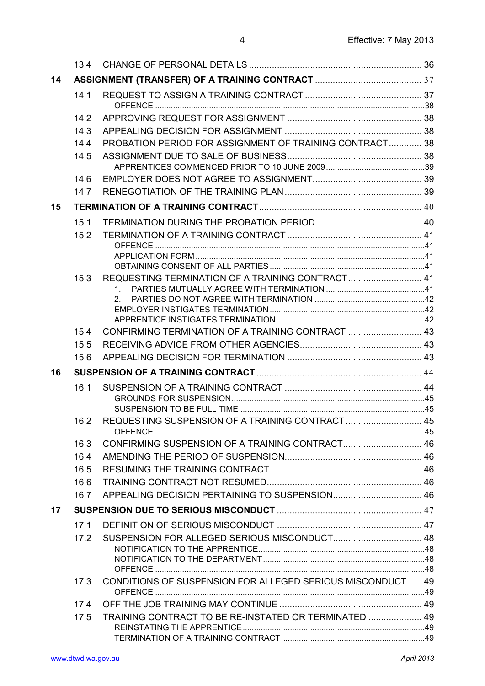|    | 13.4            |                                                            |  |
|----|-----------------|------------------------------------------------------------|--|
| 14 |                 |                                                            |  |
|    | 14.1            |                                                            |  |
|    |                 |                                                            |  |
|    | 14.2            |                                                            |  |
|    | 14.3            |                                                            |  |
|    | 14.4            | PROBATION PERIOD FOR ASSIGNMENT OF TRAINING CONTRACT 38    |  |
|    | 14.5            |                                                            |  |
|    | 14.6            |                                                            |  |
|    | 14.7            |                                                            |  |
| 15 |                 |                                                            |  |
|    | 15 <sub>1</sub> |                                                            |  |
|    | 15.2            |                                                            |  |
|    |                 |                                                            |  |
|    |                 |                                                            |  |
|    |                 |                                                            |  |
|    | 15.3            | REQUESTING TERMINATION OF A TRAINING CONTRACT 41           |  |
|    |                 | 1<br>2 <sub>1</sub>                                        |  |
|    |                 |                                                            |  |
|    |                 |                                                            |  |
|    | 15.4            | CONFIRMING TERMINATION OF A TRAINING CONTRACT  43          |  |
|    | 15.5            |                                                            |  |
|    | 15.6            |                                                            |  |
| 16 |                 |                                                            |  |
|    | 16.1            |                                                            |  |
|    |                 |                                                            |  |
|    |                 | REQUESTING SUSPENSION OF A TRAINING CONTRACT  45           |  |
|    | 16.2            |                                                            |  |
|    | 16.3            | CONFIRMING SUSPENSION OF A TRAINING CONTRACT 46            |  |
|    | 16.4            |                                                            |  |
|    | 16.5            |                                                            |  |
|    | 16.6            |                                                            |  |
|    | 16.7            |                                                            |  |
| 17 |                 |                                                            |  |
|    | 17.1            |                                                            |  |
|    | 17.2            |                                                            |  |
|    |                 |                                                            |  |
|    |                 |                                                            |  |
|    | 17.3            | CONDITIONS OF SUSPENSION FOR ALLEGED SERIOUS MISCONDUCT 49 |  |
|    |                 |                                                            |  |
|    | 17.4            |                                                            |  |
|    | 17.5            | TRAINING CONTRACT TO BE RE-INSTATED OR TERMINATED  49      |  |
|    |                 |                                                            |  |
|    |                 |                                                            |  |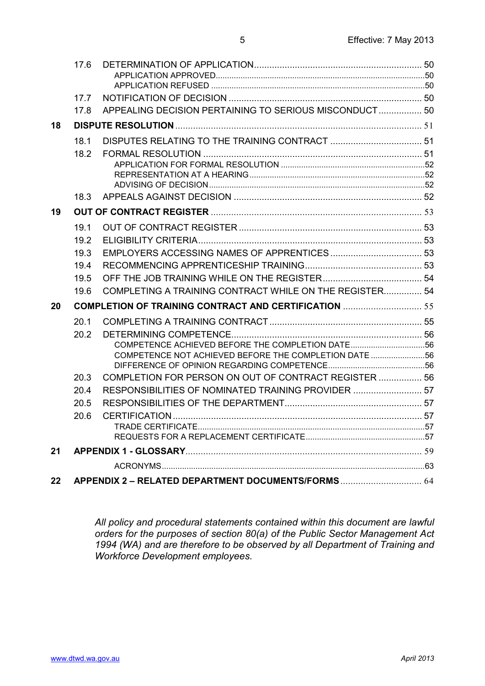|    | 17.6 |                                                                |  |
|----|------|----------------------------------------------------------------|--|
|    |      |                                                                |  |
|    |      |                                                                |  |
|    | 17.7 |                                                                |  |
|    | 17.8 | APPEALING DECISION PERTAINING TO SERIOUS MISCONDUCT 50         |  |
| 18 |      |                                                                |  |
|    | 18.1 |                                                                |  |
|    | 18.2 |                                                                |  |
|    |      |                                                                |  |
|    |      |                                                                |  |
|    | 18.3 |                                                                |  |
| 19 |      |                                                                |  |
|    | 19.1 |                                                                |  |
|    | 19.2 |                                                                |  |
|    | 19.3 |                                                                |  |
|    | 19.4 |                                                                |  |
|    | 19.5 |                                                                |  |
|    | 19.6 | <b>COMPLETING A TRAINING CONTRACT WHILE ON THE REGISTER 54</b> |  |
| 20 |      | <b>COMPLETION OF TRAINING CONTRACT AND CERTIFICATION </b> 55   |  |
|    | 20.1 |                                                                |  |
|    | 20.2 |                                                                |  |
|    |      | COMPETENCE ACHIEVED BEFORE THE COMPLETION DATE56               |  |
|    |      | COMPETENCE NOT ACHIEVED BEFORE THE COMPLETION DATE 56          |  |
|    | 20.3 | COMPLETION FOR PERSON ON OUT OF CONTRACT REGISTER  56          |  |
|    | 20.4 | RESPONSIBILITIES OF NOMINATED TRAINING PROVIDER  57            |  |
|    | 20.5 |                                                                |  |
|    | 20.6 |                                                                |  |
|    |      |                                                                |  |
|    |      |                                                                |  |
| 21 |      |                                                                |  |
|    |      |                                                                |  |
| 22 |      |                                                                |  |

*All policy and procedural statements contained within this document are lawful orders for the purposes of section 80(a) of the Public Sector Management Act 1994 (WA) and are therefore to be observed by all Department of Training and Workforce Development employees.*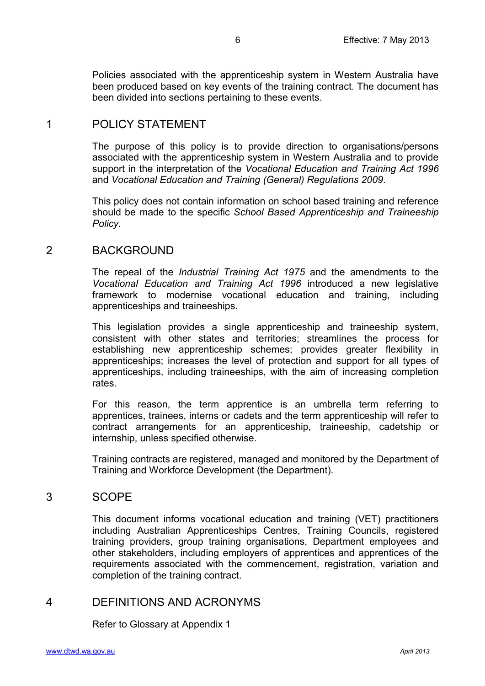Policies associated with the apprenticeship system in Western Australia have been produced based on key events of the training contract. The document has been divided into sections pertaining to these events.

## <span id="page-5-0"></span>1 POLICY STATEMENT

The purpose of this policy is to provide direction to organisations/persons associated with the apprenticeship system in Western Australia and to provide support in the interpretation of the *Vocational Education and Training Act 1996* and *Vocational Education and Training (General) Regulations 2009*.

This policy does not contain information on school based training and reference should be made to the specific *School Based Apprenticeship and Traineeship Policy.*

## <span id="page-5-1"></span>2 BACKGROUND

The repeal of the *Industrial Training Act 1975* and the amendments to the *Vocational Education and Training Act 1996* introduced a new legislative framework to modernise vocational education and training, including apprenticeships and traineeships.

This legislation provides a single apprenticeship and traineeship system, consistent with other states and territories; streamlines the process for establishing new apprenticeship schemes; provides greater flexibility in apprenticeships; increases the level of protection and support for all types of apprenticeships, including traineeships, with the aim of increasing completion rates.

For this reason, the term apprentice is an umbrella term referring to apprentices, trainees, interns or cadets and the term apprenticeship will refer to contract arrangements for an apprenticeship, traineeship, cadetship or internship, unless specified otherwise.

Training contracts are registered, managed and monitored by the Department of Training and Workforce Development (the Department).

## <span id="page-5-2"></span>3 SCOPE

This document informs vocational education and training (VET) practitioners including Australian Apprenticeships Centres, Training Councils, registered training providers, group training organisations, Department employees and other stakeholders, including employers of apprentices and apprentices of the requirements associated with the commencement, registration, variation and completion of the training contract.

## <span id="page-5-3"></span>4 DEFINITIONS AND ACRONYMS

Refer to Glossary at Appendix 1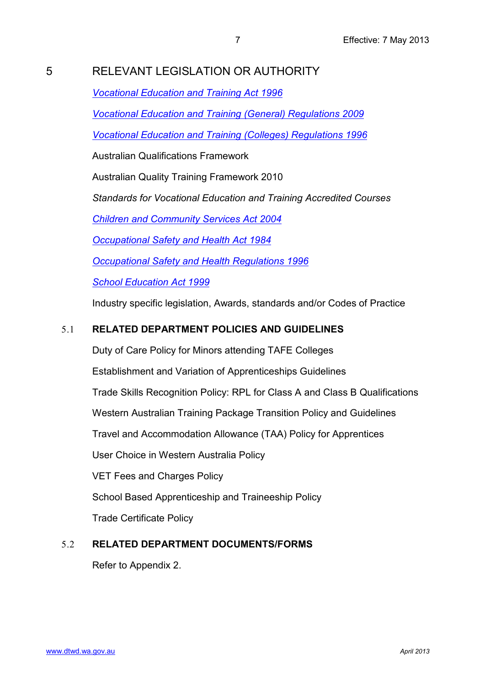# <span id="page-6-0"></span>5 RELEVANT LEGISLATION OR AUTHORITY

*[Vocational Education and Training Act 1996](http://www.slp.wa.gov.au/legislation/statutes.nsf/main_mrtitle_1030_homepage.html)*

*[Vocational Education and Training \(General\) Regulations 2009](http://www.slp.wa.gov.au/legislation/statutes.nsf/main_mrtitle_10795_homepage.html)*

*[Vocational Education and Training \(Colleges\) Regulations 1996](http://www.slp.wa.gov.au/legislation/statutes.nsf/main_mrtitle_2153_homepage.html)*

Australian Qualifications Framework

Australian Quality Training Framework 2010

*Standards for Vocational Education and Training Accredited Courses*

*[Children and Community Services Act 2004](http://www.slp.wa.gov.au/legislation/statutes.nsf/main_mrtitle_132_homepage.html)*

*[Occupational Safety and Health Act 1984](http://www.slp.wa.gov.au/legislation/statutes.nsf/main_mrtitle_650_homepage.html)*

*[Occupational Safety and Health Regulations 1996](http://www.slp.wa.gov.au/legislation/statutes.nsf/main_mrtitle_1853_homepage.html)*

*[School Education Act 1999](http://slp.wa.gov.au/legislation/statutes.nsf/main_actsif.htm)*

Industry specific legislation, Awards, standards and/or Codes of Practice

## <span id="page-6-1"></span>5.1 **RELATED DEPARTMENT POLICIES AND GUIDELINES**

Duty of Care Policy for Minors attending TAFE Colleges

Establishment and Variation of Apprenticeships Guidelines

Trade Skills Recognition Policy: RPL for Class A and Class B Qualifications

Western Australian Training Package Transition Policy and Guidelines

Travel and Accommodation Allowance (TAA) Policy for Apprentices

User Choice in Western Australia Policy

VET Fees and Charges Policy

School Based Apprenticeship and Traineeship Policy

Trade Certificate Policy

## <span id="page-6-2"></span>5.2 **RELATED DEPARTMENT DOCUMENTS/FORMS**

Refer to Appendix 2.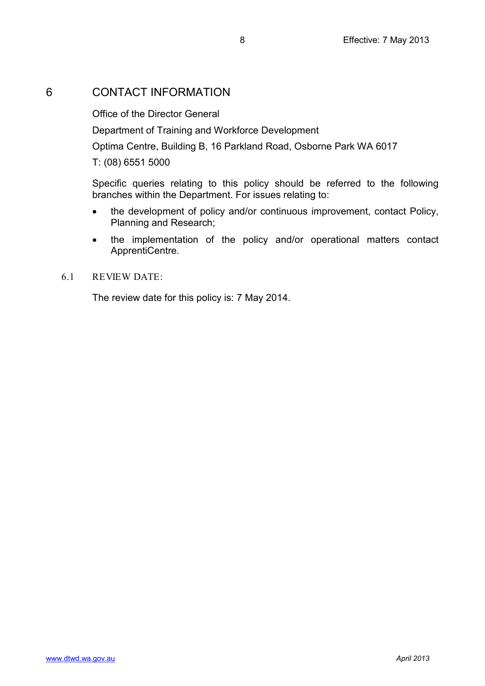## <span id="page-7-0"></span>6 CONTACT INFORMATION

Office of the Director General

Department of Training and Workforce Development

Optima Centre, Building B, 16 Parkland Road, Osborne Park WA 6017

T: (08) 6551 5000

Specific queries relating to this policy should be referred to the following branches within the Department. For issues relating to:

- the development of policy and/or continuous improvement, contact Policy, Planning and Research;
- the implementation of the policy and/or operational matters contact ApprentiCentre.

### <span id="page-7-1"></span>6.1 REVIEW DATE:

The review date for this policy is: 7 May 2014.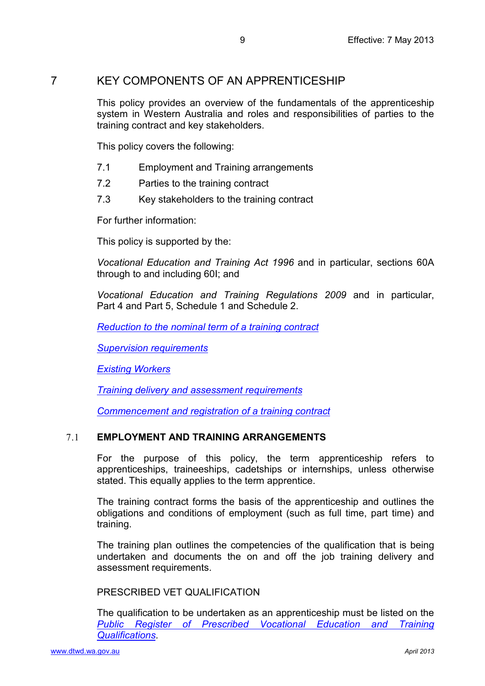## <span id="page-8-0"></span>7 KEY COMPONENTS OF AN APPRENTICESHIP

This policy provides an overview of the fundamentals of the apprenticeship system in Western Australia and roles and responsibilities of parties to the training contract and key stakeholders.

This policy covers the following:

- 7.1 Employment and Training arrangements
- 7.2 Parties to the training contract
- 7.3 Key stakeholders to the training contract

For further information:

This policy is supported by the:

*Vocational Education and Training Act 1996* and in particular, sections 60A through to and including 60I; and

*Vocational Education and Training Regulations 2009* and in particular, Part 4 and Part 5, Schedule 1 and Schedule 2.

*[Reduction to the nominal term of a training contract](#page-14-0)*

*[Supervision requirements](#page-16-0)*

*[Existing Workers](#page-18-0)*

*[Training delivery and assessment requirements](#page-19-0)*

*[Commencement and registration of a training contract](#page-27-0)*

## <span id="page-8-1"></span>7.1 **EMPLOYMENT AND TRAINING ARRANGEMENTS**

For the purpose of this policy, the term apprenticeship refers to apprenticeships, traineeships, cadetships or internships, unless otherwise stated. This equally applies to the term apprentice.

The training contract forms the basis of the apprenticeship and outlines the obligations and conditions of employment (such as full time, part time) and training.

The training plan outlines the competencies of the qualification that is being undertaken and documents the on and off the job training delivery and assessment requirements.

## <span id="page-8-2"></span>PRESCRIBED VET QUALIFICATION

The qualification to be undertaken as an apprenticeship must be listed on the *[Public Register of Prescribed Vocational Education](http://www.vetinfonet.dtwd.wa.gov.au/VETpolicyandguidelines/Pages/ClassABRegisters.aspx) and Training [Qualifications](http://www.vetinfonet.dtwd.wa.gov.au/VETpolicyandguidelines/Pages/ClassABRegisters.aspx)*.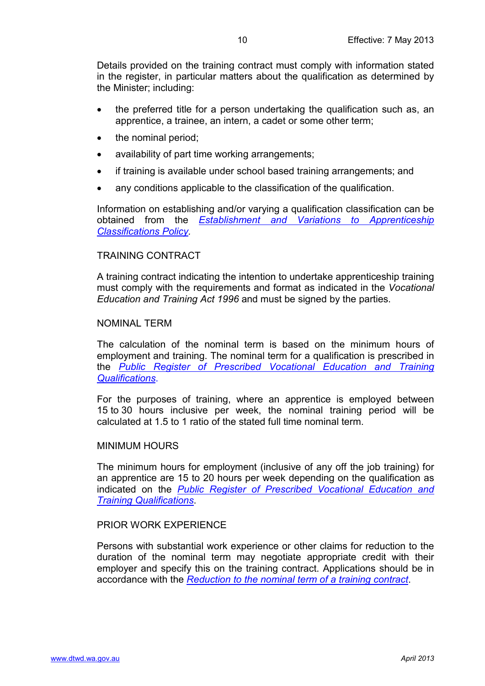Details provided on the training contract must comply with information stated in the register, in particular matters about the qualification as determined by the Minister; including:

- the preferred title for a person undertaking the qualification such as, an apprentice, a trainee, an intern, a cadet or some other term;
- the nominal period;
- availability of part time working arrangements;
- if training is available under school based training arrangements; and
- any conditions applicable to the classification of the qualification.

Information on establishing and/or varying a qualification classification can be obtained from the *[Establishment and Variations to Apprenticeship](http://www.stb.wa.gov.au/SiteCollectionDocuments/Guidelines%20for%20the%20Establishment%20and%20Variation%20of%20Apprenticeships%20-%20V1.9.pdf)  [Classifications Policy.](http://www.stb.wa.gov.au/SiteCollectionDocuments/Guidelines%20for%20the%20Establishment%20and%20Variation%20of%20Apprenticeships%20-%20V1.9.pdf)*

#### <span id="page-9-0"></span>TRAINING CONTRACT

A training contract indicating the intention to undertake apprenticeship training must comply with the requirements and format as indicated in the *Vocational Education and Training Act 1996* and must be signed by the parties.

#### <span id="page-9-1"></span>NOMINAL TERM

The calculation of the nominal term is based on the minimum hours of employment and training. The nominal term for a qualification is prescribed in the *[Public Register of Prescribed Vocational Education](http://www.vetinfonet.dtwd.wa.gov.au/VETpolicyandguidelines/Pages/ClassABRegisters.aspx) and Training [Qualifications](http://www.vetinfonet.dtwd.wa.gov.au/VETpolicyandguidelines/Pages/ClassABRegisters.aspx)*.

For the purposes of training, where an apprentice is employed between 15 to 30 hours inclusive per week, the nominal training period will be calculated at 1.5 to 1 ratio of the stated full time nominal term.

#### <span id="page-9-2"></span>MINIMUM HOURS

The minimum hours for employment (inclusive of any off the job training) for an apprentice are 15 to 20 hours per week depending on the qualification as indicated on the *[Public Register of Prescribed Vocational Education](http://www.vetinfonet.dtwd.wa.gov.au/VETpolicyandguidelines/Pages/ClassABRegisters.aspx) and [Training Qualifications](http://www.vetinfonet.dtwd.wa.gov.au/VETpolicyandguidelines/Pages/ClassABRegisters.aspx)*.

#### <span id="page-9-3"></span>PRIOR WORK EXPERIENCE

Persons with substantial work experience or other claims for reduction to the duration of the nominal term may negotiate appropriate credit with their employer and specify this on the training contract. Applications should be in accordance with the *[Reduction to the nominal term of a training contract](#page-14-0)*.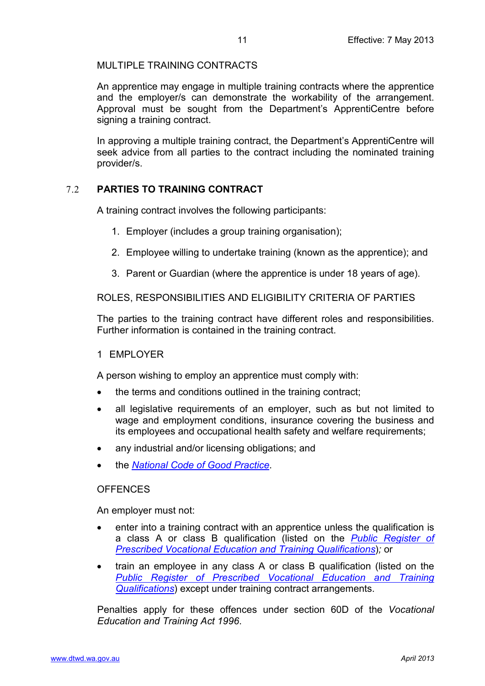### <span id="page-10-0"></span>MULTIPLE TRAINING CONTRACTS

An apprentice may engage in multiple training contracts where the apprentice and the employer/s can demonstrate the workability of the arrangement. Approval must be sought from the Department's ApprentiCentre before signing a training contract.

In approving a multiple training contract, the Department's ApprentiCentre will seek advice from all parties to the contract including the nominated training provider/s.

### <span id="page-10-1"></span>7.2 **PARTIES TO TRAINING CONTRACT**

A training contract involves the following participants:

- 1. Employer (includes a group training organisation);
- 2. Employee willing to undertake training (known as the apprentice); and
- 3. Parent or Guardian (where the apprentice is under 18 years of age).

<span id="page-10-2"></span>ROLES, RESPONSIBILITIES AND ELIGIBILITY CRITERIA OF PARTIES

The parties to the training contract have different roles and responsibilities. Further information is contained in the training contract.

#### <span id="page-10-3"></span>1 EMPLOYER

A person wishing to employ an apprentice must comply with:

- the terms and conditions outlined in the training contract:
- all legislative requirements of an employer, such as but not limited to wage and employment conditions, insurance covering the business and its employees and occupational health safety and welfare requirements;
- any industrial and/or licensing obligations; and
- the *[National Code of Good Practice](http://www.apprenticeshipscentre.com.au/WWW_ABAC/media/ABAC/News/National-code-of-good-practice.pdf)*.

#### <span id="page-10-4"></span>**OFFENCES**

An employer must not:

- enter into a training contract with an apprentice unless the qualification is a class A or class B qualification (listed on the *[Public Register of](http://www.vetinfonet.dtwd.wa.gov.au/VETpolicyandguidelines/Pages/ClassABRegisters.aspx)  [Prescribed Vocational Education](http://www.vetinfonet.dtwd.wa.gov.au/VETpolicyandguidelines/Pages/ClassABRegisters.aspx) and Training Qualifications*)*;* or
- train an employee in any class A or class B qualification (listed on the *[Public Register of Prescribed Vocational Education](http://www.vetinfonet.dtwd.wa.gov.au/VETpolicyandguidelines/Pages/ClassABRegisters.aspx) and Training [Qualifications](http://www.vetinfonet.dtwd.wa.gov.au/VETpolicyandguidelines/Pages/ClassABRegisters.aspx)*) except under training contract arrangements.

Penalties apply for these offences under section 60D of the *Vocational Education and Training Act 1996*.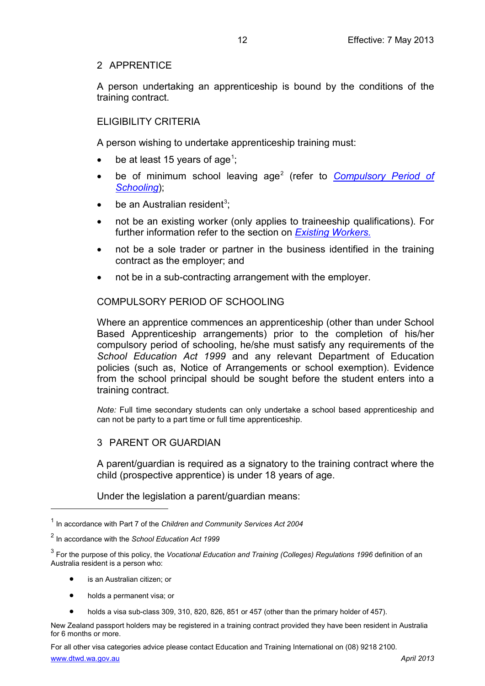## <span id="page-11-0"></span>2 APPRENTICE

A person undertaking an apprenticeship is bound by the conditions of the training contract.

## <span id="page-11-1"></span>ELIGIBILITY CRITERIA

A person wishing to undertake apprenticeship training must:

- be at least [1](#page-11-4)5 years of age<sup>1</sup>;
- be of minimum school leaving age [2](#page-11-5) (refer to *[Compulsory Period of](#page-11-2)  [Schooling](#page-11-2)*);
- $\bullet$  be an Australian resident<sup>[3](#page-11-6)</sup>;
- not be an existing worker (only applies to traineeship qualifications). For further information refer to the section on *[Existing Workers.](#page-18-0)*
- not be a sole trader or partner in the business identified in the training contract as the employer; and
- not be in a sub-contracting arrangement with the employer.

## <span id="page-11-2"></span>COMPULSORY PERIOD OF SCHOOLING

Where an apprentice commences an apprenticeship (other than under School Based Apprenticeship arrangements) prior to the completion of his/her compulsory period of schooling, he/she must satisfy any requirements of the *School Education Act 1999* and any relevant Department of Education policies (such as, Notice of Arrangements or school exemption). Evidence from the school principal should be sought before the student enters into a training contract.

*Note:* Full time secondary students can only undertake a school based apprenticeship and can not be party to a part time or full time apprenticeship.

## <span id="page-11-3"></span>3 PARENT OR GUARDIAN

A parent/guardian is required as a signatory to the training contract where the child (prospective apprentice) is under 18 years of age.

Under the legislation a parent/guardian means:

is an Australian citizen; or

 $\overline{a}$ 

- holds a permanent visa; or
- holds a visa sub-class 309, 310, 820, 826, 851 or 457 (other than the primary holder of 457).

New Zealand passport holders may be registered in a training contract provided they have been resident in Australia for 6 months or more.

[www.dtwd.wa.gov.au](http://www.dtwd.wa.gov.au/) *April 2013* For all other visa categories advice please contact Education and Training International on (08) 9218 2100.

<span id="page-11-4"></span><sup>1</sup> In accordance with Part 7 of the *Children and Community Services Act 2004*

<span id="page-11-5"></span><sup>2</sup> In accordance with the *School Education Act 1999*

<span id="page-11-6"></span><sup>3</sup> For the purpose of this policy, the *Vocational Education and Training (Colleges) Regulations 1996* definition of an Australia resident is a person who: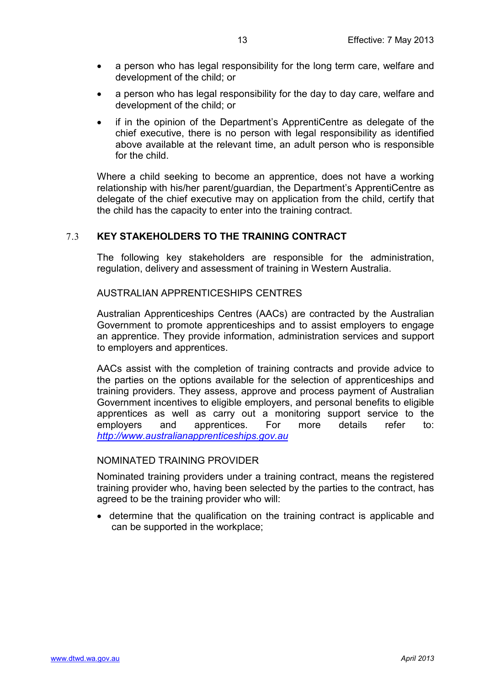- a person who has legal responsibility for the long term care, welfare and development of the child; or
- a person who has legal responsibility for the day to day care, welfare and development of the child; or
- if in the opinion of the Department's ApprentiCentre as delegate of the chief executive, there is no person with legal responsibility as identified above available at the relevant time, an adult person who is responsible for the child.

Where a child seeking to become an apprentice, does not have a working relationship with his/her parent/guardian, the Department's ApprentiCentre as delegate of the chief executive may on application from the child, certify that the child has the capacity to enter into the training contract.

## <span id="page-12-0"></span>7.3 **KEY STAKEHOLDERS TO THE TRAINING CONTRACT**

The following key stakeholders are responsible for the administration, regulation, delivery and assessment of training in Western Australia.

<span id="page-12-1"></span>AUSTRALIAN APPRENTICESHIPS CENTRES

Australian Apprenticeships Centres (AACs) are contracted by the Australian Government to promote apprenticeships and to assist employers to engage an apprentice. They provide information, administration services and support to employers and apprentices.

AACs assist with the completion of training contracts and provide advice to the parties on the options available for the selection of apprenticeships and training providers. They assess, approve and process payment of Australian Government incentives to eligible employers, and personal benefits to eligible apprentices as well as carry out a monitoring support service to the employers and apprentices. For more details refer to: *[http://www.australianapprenticeships.gov.au](http://www.australianapprenticeships.gov.au/)*

## <span id="page-12-2"></span>NOMINATED TRAINING PROVIDER

Nominated training providers under a training contract, means the registered training provider who, having been selected by the parties to the contract, has agreed to be the training provider who will:

• determine that the qualification on the training contract is applicable and can be supported in the workplace;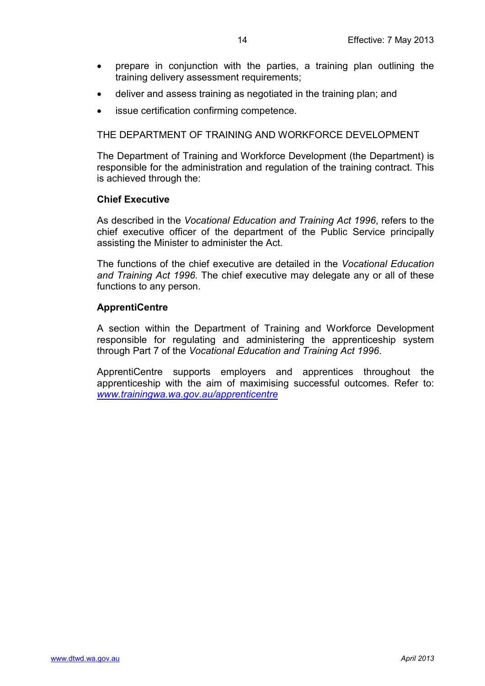- prepare in conjunction with the parties, a training plan outlining the training delivery assessment requirements;
- deliver and assess training as negotiated in the training plan; and
- issue certification confirming competence.

<span id="page-13-0"></span>THE DEPARTMENT OF TRAINING AND WORKFORCE DEVELOPMENT

The Department of Training and Workforce Development (the Department) is responsible for the administration and regulation of the training contract. This is achieved through the:

### **Chief Executive**

As described in the *Vocational Education and Training Act 1996*, refers to the chief executive officer of the department of the Public Service principally assisting the Minister to administer the Act.

The functions of the chief executive are detailed in the *Vocational Education and Training Act 1996*. The chief executive may delegate any or all of these functions to any person.

## **ApprentiCentre**

A section within the Department of Training and Workforce Development responsible for regulating and administering the apprenticeship system through Part 7 of the *Vocational Education and Training Act 1996*.

ApprentiCentre supports employers and apprentices throughout the apprenticeship with the aim of maximising successful outcomes. Refer to: *[www.trainingwa.wa.gov.au/apprenticentre](http://www.trainingwa.wa.gov.au/apprenticentre)*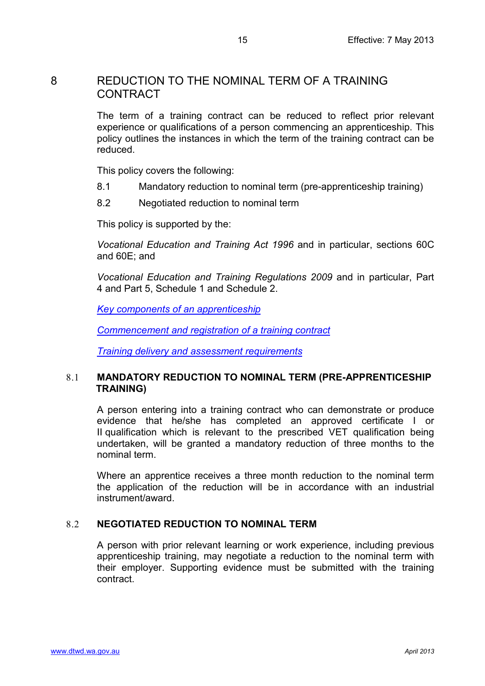## <span id="page-14-0"></span>8 REDUCTION TO THE NOMINAL TERM OF A TRAINING **CONTRACT**

The term of a training contract can be reduced to reflect prior relevant experience or qualifications of a person commencing an apprenticeship. This policy outlines the instances in which the term of the training contract can be reduced.

This policy covers the following:

- 8.1 Mandatory reduction to nominal term (pre-apprenticeship training)
- 8.2 Negotiated reduction to nominal term

This policy is supported by the:

*Vocational Education and Training Act 1996* and in particular, sections 60C and 60E; and

*Vocational Education and Training Regulations 2009* and in particular, Part 4 and Part 5, Schedule 1 and Schedule 2.

*[Key components of an apprenticeship](#page-8-0)*

*[Commencement and registration of a training contract](#page-27-0)*

*[Training delivery and assessment requirements](#page-18-4)*

## <span id="page-14-1"></span>8.1 **MANDATORY REDUCTION TO NOMINAL TERM (PRE-APPRENTICESHIP TRAINING)**

A person entering into a training contract who can demonstrate or produce evidence that he/she has completed an approved certificate I or II qualification which is relevant to the prescribed VET qualification being undertaken, will be granted a mandatory reduction of three months to the nominal term.

Where an apprentice receives a three month reduction to the nominal term the application of the reduction will be in accordance with an industrial instrument/award.

## <span id="page-14-2"></span>8.2 **NEGOTIATED REDUCTION TO NOMINAL TERM**

A person with prior relevant learning or work experience, including previous apprenticeship training, may negotiate a reduction to the nominal term with their employer. Supporting evidence must be submitted with the training contract.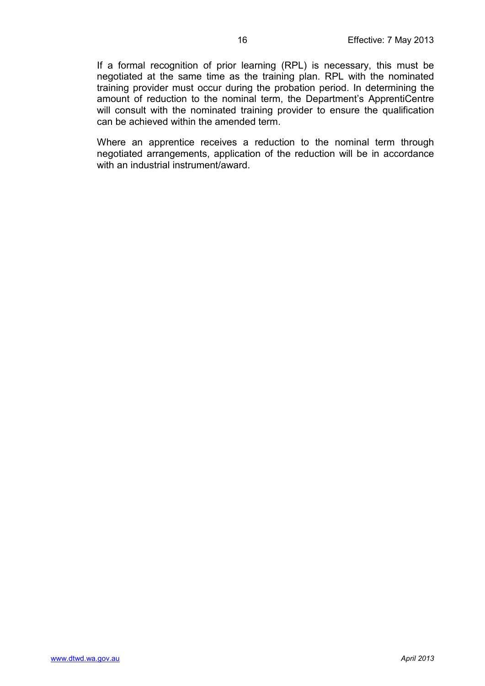If a formal recognition of prior learning (RPL) is necessary, this must be negotiated at the same time as the training plan. RPL with the nominated training provider must occur during the probation period. In determining the amount of reduction to the nominal term, the Department's ApprentiCentre will consult with the nominated training provider to ensure the qualification can be achieved within the amended term.

Where an apprentice receives a reduction to the nominal term through negotiated arrangements, application of the reduction will be in accordance with an industrial instrument/award.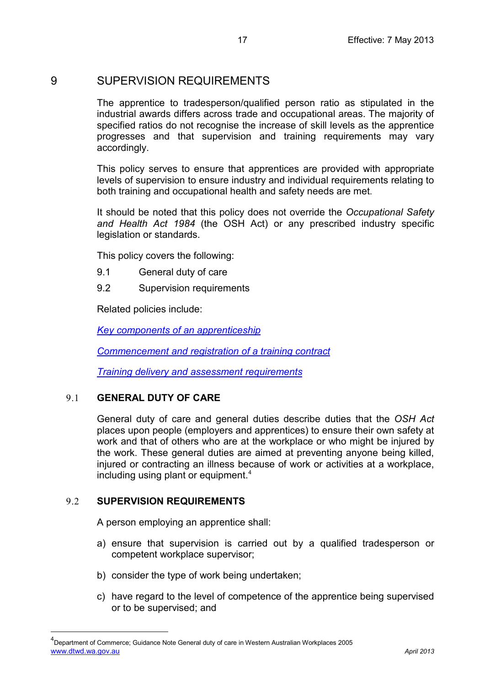## <span id="page-16-0"></span>9 SUPERVISION REQUIREMENTS

The apprentice to tradesperson/qualified person ratio as stipulated in the industrial awards differs across trade and occupational areas. The majority of specified ratios do not recognise the increase of skill levels as the apprentice progresses and that supervision and training requirements may vary accordingly.

This policy serves to ensure that apprentices are provided with appropriate levels of supervision to ensure industry and individual requirements relating to both training and occupational health and safety needs are met.

It should be noted that this policy does not override the *Occupational Safety and Health Act 1984* (the OSH Act) or any prescribed industry specific legislation or standards.

This policy covers the following:

- 9.1 General duty of care
- 9.2 Supervision requirements

Related policies include:

*[Key components of an apprenticeship](#page-8-0)*

*[Commencement and registration of a training contract](#page-27-0)*

*[Training delivery and assessment requirements](#page-18-4)*

## <span id="page-16-1"></span>9.1 **GENERAL DUTY OF CARE**

General duty of care and general duties describe duties that the *OSH Act*  places upon people (employers and apprentices) to ensure their own safety at work and that of others who are at the workplace or who might be injured by the work. These general duties are aimed at preventing anyone being killed, injured or contracting an illness because of work or activities at a workplace, including using plant or equipment.<sup>[4](#page-16-3)</sup>

## <span id="page-16-2"></span>9.2 **SUPERVISION REQUIREMENTS**

 $\overline{a}$ 

A person employing an apprentice shall:

- a) ensure that supervision is carried out by a qualified tradesperson or competent workplace supervisor;
- b) consider the type of work being undertaken;
- c) have regard to the level of competence of the apprentice being supervised or to be supervised; and

<span id="page-16-3"></span>[www.dtwd.wa.gov.au](http://www.dtwd.wa.gov.au/) *April 2013* <sup>4</sup>Department of Commerce; Guidance Note General duty of care in Western Australian Workplaces 2005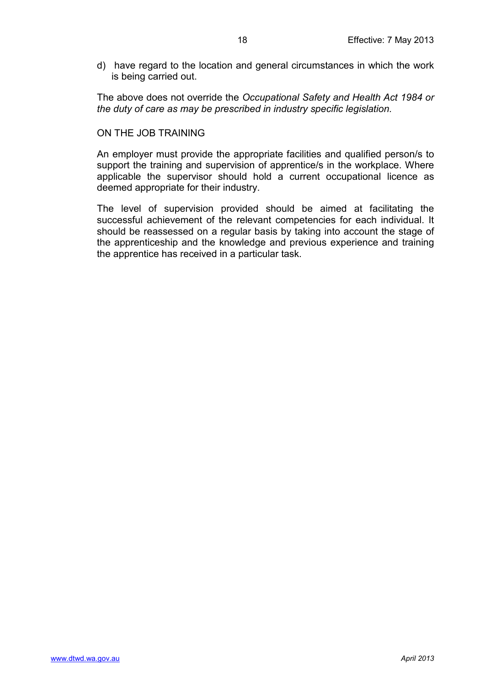d) have regard to the location and general circumstances in which the work is being carried out.

The above does not override the *Occupational Safety and Health Act 1984 or the duty of care as may be prescribed in industry specific legislation.*

### <span id="page-17-0"></span>ON THE JOB TRAINING

An employer must provide the appropriate facilities and qualified person/s to support the training and supervision of apprentice/s in the workplace. Where applicable the supervisor should hold a current occupational licence as deemed appropriate for their industry.

The level of supervision provided should be aimed at facilitating the successful achievement of the relevant competencies for each individual. It should be reassessed on a regular basis by taking into account the stage of the apprenticeship and the knowledge and previous experience and training the apprentice has received in a particular task.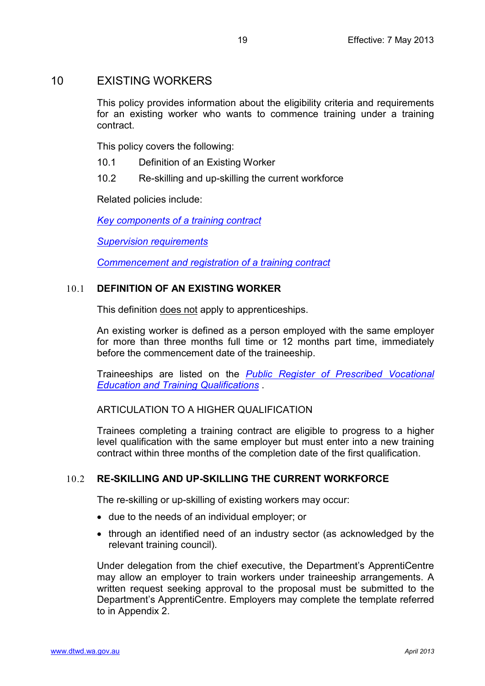## <span id="page-18-0"></span>10 EXISTING WORKERS

This policy provides information about the eligibility criteria and requirements for an existing worker who wants to commence training under a training contract.

This policy covers the following:

- 10.1 Definition of an Existing Worker
- 10.2 Re-skilling and up-skilling the current workforce

Related policies include:

*[Key components of a training contract](#page-8-0)*

*[Supervision requirements](#page-16-0)*

*[Commencement and registration of](#page-27-0) a training contract*

### <span id="page-18-1"></span>10.1 **DEFINITION OF AN EXISTING WORKER**

This definition does not apply to apprenticeships.

An existing worker is defined as a person employed with the same employer for more than three months full time or 12 months part time, immediately before the commencement date of the traineeship.

Traineeships are listed on the *[Public Register of Prescribed Vocational](http://www.vetinfonet.dtwd.wa.gov.au/VETpolicyandguidelines/Pages/ClassABRegisters.aspx)  Education and [Training Qualifications](http://www.vetinfonet.dtwd.wa.gov.au/VETpolicyandguidelines/Pages/ClassABRegisters.aspx)* .

<span id="page-18-2"></span>ARTICULATION TO A HIGHER QUALIFICATION

Trainees completing a training contract are eligible to progress to a higher level qualification with the same employer but must enter into a new training contract within three months of the completion date of the first qualification.

## <span id="page-18-3"></span>10.2 **RE-SKILLING AND UP-SKILLING THE CURRENT WORKFORCE**

The re-skilling or up-skilling of existing workers may occur:

- due to the needs of an individual employer; or
- through an identified need of an industry sector (as acknowledged by the relevant training council).

<span id="page-18-4"></span>Under delegation from the chief executive, the Department's ApprentiCentre may allow an employer to train workers under traineeship arrangements. A written request seeking approval to the proposal must be submitted to the Department's ApprentiCentre. Employers may complete the template referred to in Appendix 2.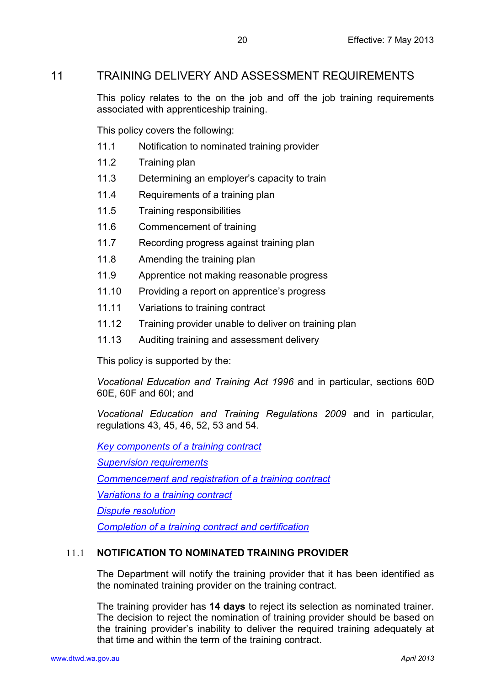## <span id="page-19-0"></span>11 TRAINING DELIVERY AND ASSESSMENT REQUIREMENTS

This policy relates to the on the job and off the job training requirements associated with apprenticeship training.

This policy covers the following:

- 11.1 Notification to nominated training provider
- 11.2 Training plan
- 11.3 Determining an employer's capacity to train
- 11.4 Requirements of a training plan
- 11.5 Training responsibilities
- 11.6 Commencement of training
- 11.7 Recording progress against training plan
- 11.8 Amending the training plan
- 11.9 Apprentice not making reasonable progress
- 11.10 Providing a report on apprentice's progress
- 11.11 Variations to training contract
- 11.12 Training provider unable to deliver on training plan
- 11.13 Auditing training and assessment delivery

This policy is supported by the:

*Vocational Education and Training Act 1996* and in particular, sections 60D 60E, 60F and 60I; and

*Vocational Education and Training Regulations 2009* and in particular, regulations 43, 45, 46, 52, 53 and 54.

*[Key components of a training contract](#page-8-0)*

*[Supervision requirements](#page-16-0)*

*[Commencement and registration of](#page-27-0) a training contract*

*Variations to [a training contract](#page-31-0)*

*[Dispute resolution](#page-50-0)*

*[Completion of a training contract and certification](#page-54-0)*

## <span id="page-19-1"></span>11.1 **NOTIFICATION TO NOMINATED TRAINING PROVIDER**

The Department will notify the training provider that it has been identified as the nominated training provider on the training contract.

The training provider has **14 days** to reject its selection as nominated trainer. The decision to reject the nomination of training provider should be based on the training provider's inability to deliver the required training adequately at that time and within the term of the training contract.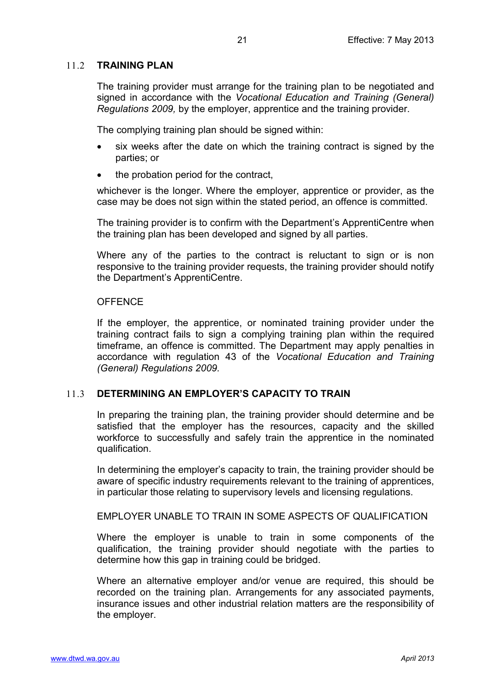## <span id="page-20-0"></span>11.2 **TRAINING PLAN**

The training provider must arrange for the training plan to be negotiated and signed in accordance with the *Vocational Education and Training (General) Regulations 2009,* by the employer, apprentice and the training provider.

The complying training plan should be signed within:

- six weeks after the date on which the training contract is signed by the parties; or
- the probation period for the contract.

whichever is the longer. Where the employer, apprentice or provider, as the case may be does not sign within the stated period, an offence is committed.

The training provider is to confirm with the Department's ApprentiCentre when the training plan has been developed and signed by all parties.

Where any of the parties to the contract is reluctant to sign or is non responsive to the training provider requests, the training provider should notify the Department's ApprentiCentre.

#### <span id="page-20-1"></span>**OFFENCE**

If the employer, the apprentice, or nominated training provider under the training contract fails to sign a complying training plan within the required timeframe, an offence is committed. The Department may apply penalties in accordance with regulation 43 of the *Vocational Education and Training (General) Regulations 2009.*

## <span id="page-20-2"></span>11.3 **DETERMINING AN EMPLOYER'S CAPACITY TO TRAIN**

In preparing the training plan, the training provider should determine and be satisfied that the employer has the resources, capacity and the skilled workforce to successfully and safely train the apprentice in the nominated qualification.

In determining the employer's capacity to train, the training provider should be aware of specific industry requirements relevant to the training of apprentices, in particular those relating to supervisory levels and licensing regulations.

#### <span id="page-20-3"></span>EMPLOYER UNABLE TO TRAIN IN SOME ASPECTS OF QUALIFICATION

Where the employer is unable to train in some components of the qualification, the training provider should negotiate with the parties to determine how this gap in training could be bridged.

Where an alternative employer and/or venue are required, this should be recorded on the training plan. Arrangements for any associated payments, insurance issues and other industrial relation matters are the responsibility of the employer.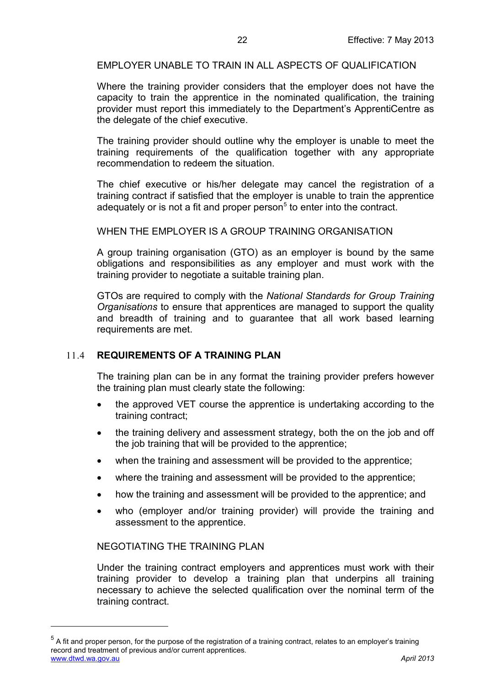<span id="page-21-0"></span>EMPLOYER UNABLE TO TRAIN IN ALL ASPECTS OF QUALIFICATION

Where the training provider considers that the employer does not have the capacity to train the apprentice in the nominated qualification, the training provider must report this immediately to the Department's ApprentiCentre as the delegate of the chief executive.

The training provider should outline why the employer is unable to meet the training requirements of the qualification together with any appropriate recommendation to redeem the situation.

The chief executive or his/her delegate may cancel the registration of a training contract if satisfied that the employer is unable to train the apprentice adequately or is not a fit and proper person<sup>[5](#page-21-4)</sup> to enter into the contract.

<span id="page-21-1"></span>WHEN THE EMPLOYER IS A GROUP TRAINING ORGANISATION

A group training organisation (GTO) as an employer is bound by the same obligations and responsibilities as any employer and must work with the training provider to negotiate a suitable training plan.

GTOs are required to comply with the *National Standards for Group Training Organisations* to ensure that apprentices are managed to support the quality and breadth of training and to guarantee that all work based learning requirements are met.

#### <span id="page-21-2"></span>11.4 **REQUIREMENTS OF A TRAINING PLAN**

The training plan can be in any format the training provider prefers however the training plan must clearly state the following:

- the approved VET course the apprentice is undertaking according to the training contract;
- the training delivery and assessment strategy, both the on the job and off the job training that will be provided to the apprentice;
- when the training and assessment will be provided to the apprentice;
- where the training and assessment will be provided to the apprentice;
- how the training and assessment will be provided to the apprentice; and
- who (employer and/or training provider) will provide the training and assessment to the apprentice.

#### <span id="page-21-3"></span>NEGOTIATING THE TRAINING PLAN

 $\overline{a}$ 

Under the training contract employers and apprentices must work with their training provider to develop a training plan that underpins all training necessary to achieve the selected qualification over the nominal term of the training contract.

<span id="page-21-4"></span>[www.dtwd.wa.gov.au](http://www.dtwd.wa.gov.au/) *April 2013*  $<sup>5</sup>$  A fit and proper person, for the purpose of the registration of a training contract, relates to an employer's training</sup> record and treatment of previous and/or current apprentices.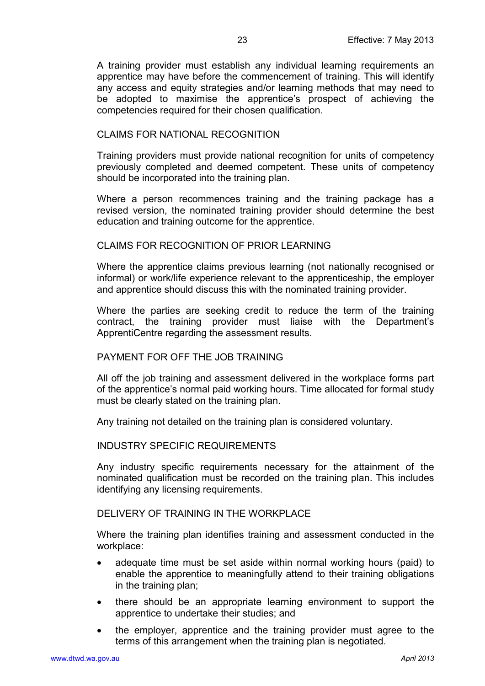A training provider must establish any individual learning requirements an apprentice may have before the commencement of training. This will identify any access and equity strategies and/or learning methods that may need to be adopted to maximise the apprentice's prospect of achieving the competencies required for their chosen qualification.

### <span id="page-22-0"></span>CLAIMS FOR NATIONAL RECOGNITION

Training providers must provide national recognition for units of competency previously completed and deemed competent. These units of competency should be incorporated into the training plan.

Where a person recommences training and the training package has a revised version, the nominated training provider should determine the best education and training outcome for the apprentice.

#### <span id="page-22-1"></span>CLAIMS FOR RECOGNITION OF PRIOR LEARNING

Where the apprentice claims previous learning (not nationally recognised or informal) or work/life experience relevant to the apprenticeship, the employer and apprentice should discuss this with the nominated training provider.

Where the parties are seeking credit to reduce the term of the training contract, the training provider must liaise with the Department's ApprentiCentre regarding the assessment results.

#### <span id="page-22-2"></span>PAYMENT FOR OFF THE JOB TRAINING

All off the job training and assessment delivered in the workplace forms part of the apprentice's normal paid working hours. Time allocated for formal study must be clearly stated on the training plan.

Any training not detailed on the training plan is considered voluntary.

#### <span id="page-22-3"></span>INDUSTRY SPECIFIC REQUIREMENTS

Any industry specific requirements necessary for the attainment of the nominated qualification must be recorded on the training plan. This includes identifying any licensing requirements.

## <span id="page-22-4"></span>DELIVERY OF TRAINING IN THE WORKPLACE

Where the training plan identifies training and assessment conducted in the workplace:

- adequate time must be set aside within normal working hours (paid) to enable the apprentice to meaningfully attend to their training obligations in the training plan;
- there should be an appropriate learning environment to support the apprentice to undertake their studies; and
- the employer, apprentice and the training provider must agree to the terms of this arrangement when the training plan is negotiated.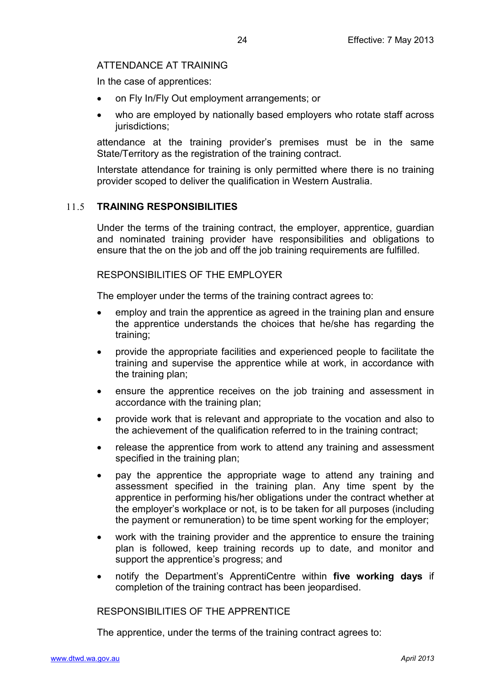## <span id="page-23-0"></span>ATTENDANCE AT TRAINING

In the case of apprentices:

- on Fly In/Fly Out employment arrangements; or
- who are employed by nationally based employers who rotate staff across jurisdictions;

attendance at the training provider's premises must be in the same State/Territory as the registration of the training contract.

Interstate attendance for training is only permitted where there is no training provider scoped to deliver the qualification in Western Australia.

## <span id="page-23-1"></span>11.5 **TRAINING RESPONSIBILITIES**

Under the terms of the training contract, the employer, apprentice, guardian and nominated training provider have responsibilities and obligations to ensure that the on the job and off the job training requirements are fulfilled.

## <span id="page-23-2"></span>RESPONSIBILITIES OF THE EMPLOYER

The employer under the terms of the training contract agrees to:

- employ and train the apprentice as agreed in the training plan and ensure the apprentice understands the choices that he/she has regarding the training;
- provide the appropriate facilities and experienced people to facilitate the training and supervise the apprentice while at work, in accordance with the training plan;
- ensure the apprentice receives on the job training and assessment in accordance with the training plan;
- provide work that is relevant and appropriate to the vocation and also to the achievement of the qualification referred to in the training contract;
- release the apprentice from work to attend any training and assessment specified in the training plan;
- pay the apprentice the appropriate wage to attend any training and assessment specified in the training plan. Any time spent by the apprentice in performing his/her obligations under the contract whether at the employer's workplace or not, is to be taken for all purposes (including the payment or remuneration) to be time spent working for the employer;
- work with the training provider and the apprentice to ensure the training plan is followed, keep training records up to date, and monitor and support the apprentice's progress; and
- notify the Department's ApprentiCentre within **five working days** if completion of the training contract has been jeopardised.

<span id="page-23-3"></span>RESPONSIBILITIES OF THE APPRENTICE

The apprentice, under the terms of the training contract agrees to: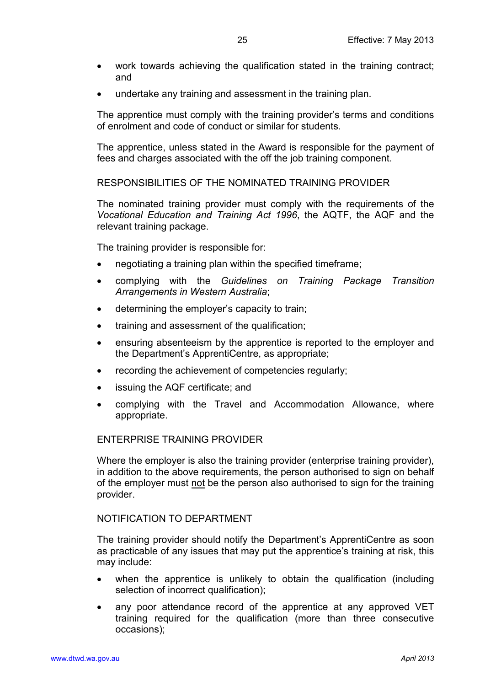- work towards achieving the qualification stated in the training contract; and
- undertake any training and assessment in the training plan.

The apprentice must comply with the training provider's terms and conditions of enrolment and code of conduct or similar for students.

The apprentice, unless stated in the Award is responsible for the payment of fees and charges associated with the off the job training component.

<span id="page-24-0"></span>RESPONSIBILITIES OF THE NOMINATED TRAINING PROVIDER

The nominated training provider must comply with the requirements of the *Vocational Education and Training Act 1996*, the AQTF, the AQF and the relevant training package.

The training provider is responsible for:

- negotiating a training plan within the specified timeframe;
- complying with the *Guidelines on Training Package Transition Arrangements in Western Australia*;
- determining the employer's capacity to train;
- training and assessment of the qualification;
- ensuring absenteeism by the apprentice is reported to the employer and the Department's ApprentiCentre, as appropriate;
- recording the achievement of competencies regularly;
- issuing the AQF certificate; and
- complying with the Travel and Accommodation Allowance, where appropriate.

#### <span id="page-24-1"></span>ENTERPRISE TRAINING PROVIDER

Where the employer is also the training provider (enterprise training provider), in addition to the above requirements, the person authorised to sign on behalf of the employer must not be the person also authorised to sign for the training provider.

#### <span id="page-24-2"></span>NOTIFICATION TO DEPARTMENT

The training provider should notify the Department's ApprentiCentre as soon as practicable of any issues that may put the apprentice's training at risk, this may include:

- when the apprentice is unlikely to obtain the qualification (including selection of incorrect qualification);
- any poor attendance record of the apprentice at any approved VET training required for the qualification (more than three consecutive occasions);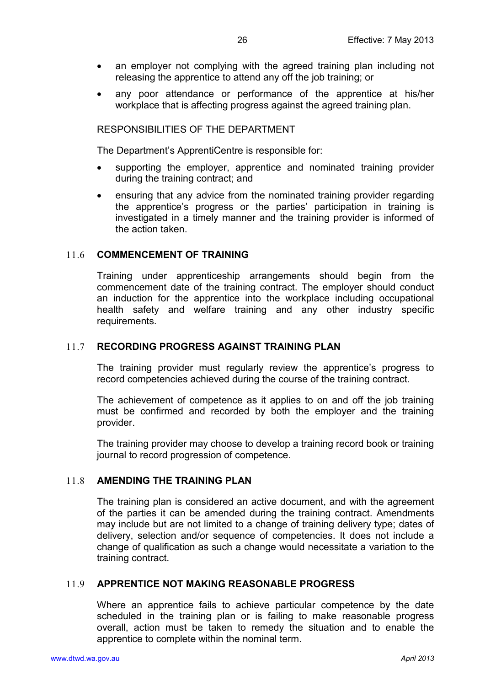- an employer not complying with the agreed training plan including not releasing the apprentice to attend any off the job training; or
- any poor attendance or performance of the apprentice at his/her workplace that is affecting progress against the agreed training plan.

<span id="page-25-0"></span>RESPONSIBILITIES OF THE DEPARTMENT

The Department's ApprentiCentre is responsible for:

- supporting the employer, apprentice and nominated training provider during the training contract; and
- ensuring that any advice from the nominated training provider regarding the apprentice's progress or the parties' participation in training is investigated in a timely manner and the training provider is informed of the action taken.

### <span id="page-25-1"></span>11.6 **COMMENCEMENT OF TRAINING**

Training under apprenticeship arrangements should begin from the commencement date of the training contract. The employer should conduct an induction for the apprentice into the workplace including occupational health safety and welfare training and any other industry specific requirements.

### <span id="page-25-2"></span>11.7 **RECORDING PROGRESS AGAINST TRAINING PLAN**

The training provider must regularly review the apprentice's progress to record competencies achieved during the course of the training contract.

The achievement of competence as it applies to on and off the job training must be confirmed and recorded by both the employer and the training provider.

The training provider may choose to develop a training record book or training journal to record progression of competence.

#### <span id="page-25-3"></span>11.8 **AMENDING THE TRAINING PLAN**

The training plan is considered an active document, and with the agreement of the parties it can be amended during the training contract. Amendments may include but are not limited to a change of training delivery type; dates of delivery, selection and/or sequence of competencies. It does not include a change of qualification as such a change would necessitate a variation to the training contract.

#### <span id="page-25-4"></span>11.9 **APPRENTICE NOT MAKING REASONABLE PROGRESS**

Where an apprentice fails to achieve particular competence by the date scheduled in the training plan or is failing to make reasonable progress overall, action must be taken to remedy the situation and to enable the apprentice to complete within the nominal term.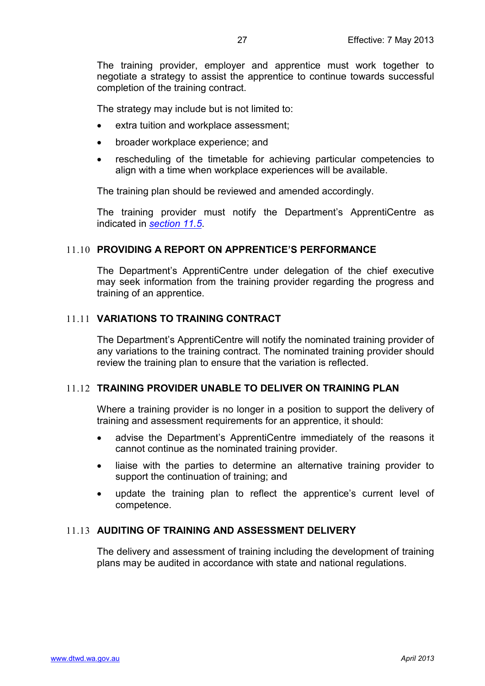The training provider, employer and apprentice must work together to negotiate a strategy to assist the apprentice to continue towards successful completion of the training contract.

The strategy may include but is not limited to:

- extra tuition and workplace assessment;
- broader workplace experience; and
- rescheduling of the timetable for achieving particular competencies to align with a time when workplace experiences will be available.

The training plan should be reviewed and amended accordingly.

The training provider must notify the Department's ApprentiCentre as indicated in *[section 11.5](#page-23-1)*.

#### <span id="page-26-0"></span>11.10 **PROVIDING A REPORT ON APPRENTICE'S PERFORMANCE**

The Department's ApprentiCentre under delegation of the chief executive may seek information from the training provider regarding the progress and training of an apprentice.

#### <span id="page-26-1"></span>11.11 **VARIATIONS TO TRAINING CONTRACT**

The Department's ApprentiCentre will notify the nominated training provider of any variations to the training contract. The nominated training provider should review the training plan to ensure that the variation is reflected.

#### <span id="page-26-2"></span>11.12 **TRAINING PROVIDER UNABLE TO DELIVER ON TRAINING PLAN**

Where a training provider is no longer in a position to support the delivery of training and assessment requirements for an apprentice, it should:

- advise the Department's ApprentiCentre immediately of the reasons it cannot continue as the nominated training provider.
- liaise with the parties to determine an alternative training provider to support the continuation of training; and
- update the training plan to reflect the apprentice's current level of competence.

### <span id="page-26-3"></span>11.13 **AUDITING OF TRAINING AND ASSESSMENT DELIVERY**

The delivery and assessment of training including the development of training plans may be audited in accordance with state and national regulations.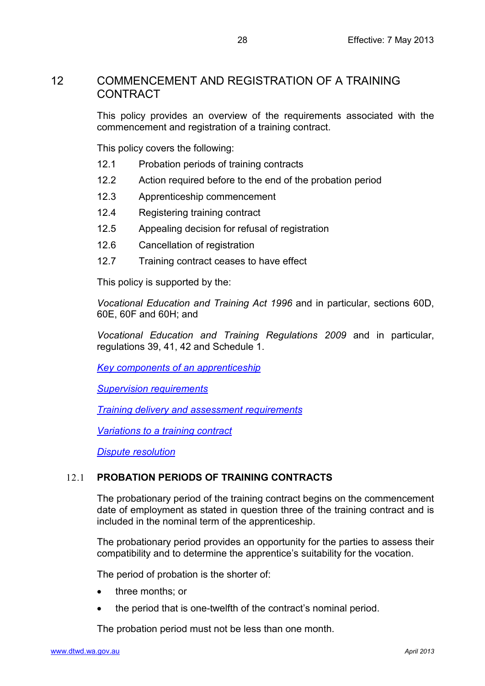## <span id="page-27-0"></span>12 COMMENCEMENT AND REGISTRATION OF A TRAINING CONTRACT

This policy provides an overview of the requirements associated with the commencement and registration of a training contract.

This policy covers the following:

- 12.1 Probation periods of training contracts
- 12.2 Action required before to the end of the probation period
- 12.3 Apprenticeship commencement
- 12.4 Registering training contract
- 12.5 Appealing decision for refusal of registration
- 12.6 Cancellation of registration
- 12.7 Training contract ceases to have effect

This policy is supported by the:

*Vocational Education and Training Act 1996* and in particular, sections 60D, 60E, 60F and 60H; and

*Vocational Education and Training Regulations 2009* and in particular, regulations 39, 41, 42 and Schedule 1.

*[Key components of an apprenticeship](#page-8-0)*

*[Supervision requirements](#page-16-0)*

*[Training delivery and assessment requirements](#page-19-0)*

*[Variations to a training contract](#page-31-0)*

*[Dispute resolution](#page-50-0)*

## <span id="page-27-1"></span>12.1 **PROBATION PERIODS OF TRAINING CONTRACTS**

The probationary period of the training contract begins on the commencement date of employment as stated in question three of the training contract and is included in the nominal term of the apprenticeship.

The probationary period provides an opportunity for the parties to assess their compatibility and to determine the apprentice's suitability for the vocation.

The period of probation is the shorter of:

- three months; or
- the period that is one-twelfth of the contract's nominal period.

The probation period must not be less than one month.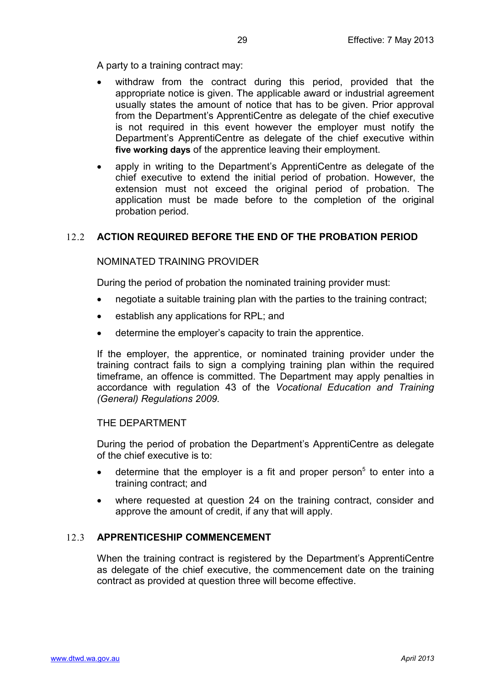A party to a training contract may:

- withdraw from the contract during this period, provided that the appropriate notice is given. The applicable award or industrial agreement usually states the amount of notice that has to be given. Prior approval from the Department's ApprentiCentre as delegate of the chief executive is not required in this event however the employer must notify the Department's ApprentiCentre as delegate of the chief executive within **five working days** of the apprentice leaving their employment.
- apply in writing to the Department's ApprentiCentre as delegate of the chief executive to extend the initial period of probation. However, the extension must not exceed the original period of probation. The application must be made before to the completion of the original probation period.

## <span id="page-28-1"></span><span id="page-28-0"></span>12.2 **ACTION REQUIRED BEFORE THE END OF THE PROBATION PERIOD**

#### NOMINATED TRAINING PROVIDER

During the period of probation the nominated training provider must:

- negotiate a suitable training plan with the parties to the training contract;
- establish any applications for RPL; and
- determine the employer's capacity to train the apprentice.

If the employer, the apprentice, or nominated training provider under the training contract fails to sign a complying training plan within the required timeframe, an offence is committed. The Department may apply penalties in accordance with regulation 43 of the *Vocational Education and Training (General) Regulations 2009.*

#### <span id="page-28-2"></span>THE DEPARTMENT

During the period of probation the Department's ApprentiCentre as delegate of the chief executive is to:

- determine that the employer is a fit and proper person<sup>5</sup> to enter into a training contract; and
- where requested at question 24 on the training contract, consider and approve the amount of credit, if any that will apply.

#### <span id="page-28-3"></span>12.3 **APPRENTICESHIP COMMENCEMENT**

When the training contract is registered by the Department's ApprentiCentre as delegate of the chief executive, the commencement date on the training contract as provided at question three will become effective.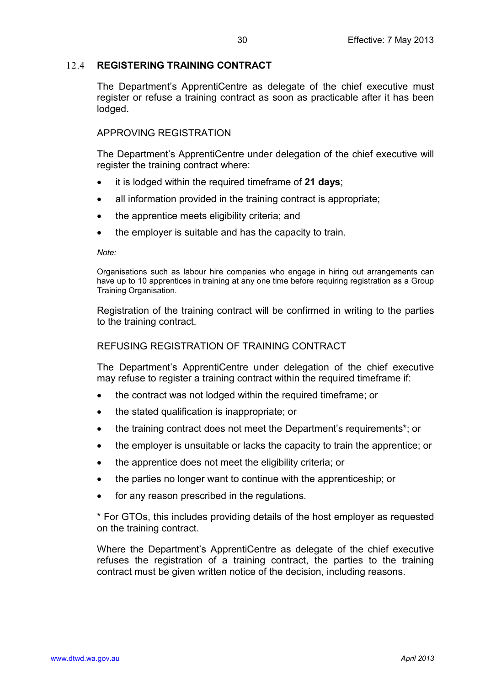## <span id="page-29-0"></span>12.4 **REGISTERING TRAINING CONTRACT**

The Department's ApprentiCentre as delegate of the chief executive must register or refuse a training contract as soon as practicable after it has been lodged.

### <span id="page-29-1"></span>APPROVING REGISTRATION

The Department's ApprentiCentre under delegation of the chief executive will register the training contract where:

- it is lodged within the required timeframe of **21 days**;
- all information provided in the training contract is appropriate;
- the apprentice meets eligibility criteria; and
- the employer is suitable and has the capacity to train.

*Note:*

Organisations such as labour hire companies who engage in hiring out arrangements can have up to 10 apprentices in training at any one time before requiring registration as a Group Training Organisation.

Registration of the training contract will be confirmed in writing to the parties to the training contract.

## <span id="page-29-2"></span>REFUSING REGISTRATION OF TRAINING CONTRACT

The Department's ApprentiCentre under delegation of the chief executive may refuse to register a training contract within the required timeframe if:

- the contract was not lodged within the required timeframe; or
- the stated qualification is inappropriate; or
- the training contract does not meet the Department's requirements\*; or
- the employer is unsuitable or lacks the capacity to train the apprentice; or
- the apprentice does not meet the eligibility criteria; or
- the parties no longer want to continue with the apprenticeship; or
- for any reason prescribed in the regulations.

\* For GTOs, this includes providing details of the host employer as requested on the training contract.

Where the Department's ApprentiCentre as delegate of the chief executive refuses the registration of a training contract, the parties to the training contract must be given written notice of the decision, including reasons.

30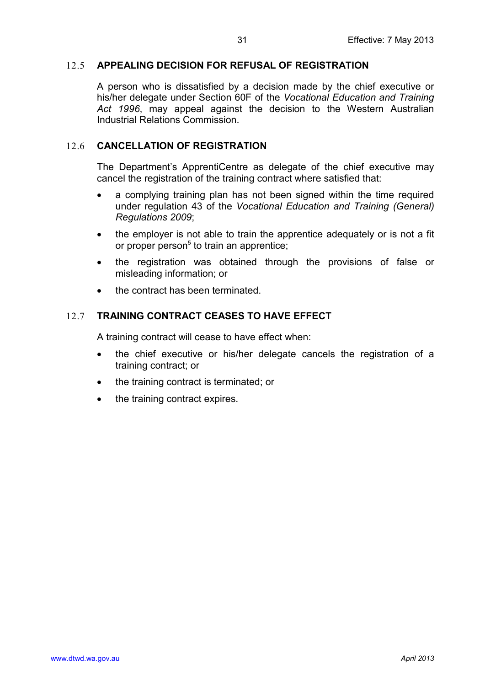## <span id="page-30-0"></span>12.5 **APPEALING DECISION FOR REFUSAL OF REGISTRATION**

A person who is dissatisfied by a decision made by the chief executive or his/her delegate under Section 60F of the *Vocational Education and Training Act 1996*, may appeal against the decision to the Western Australian Industrial Relations Commission.

## <span id="page-30-1"></span>12.6 **CANCELLATION OF REGISTRATION**

The Department's ApprentiCentre as delegate of the chief executive may cancel the registration of the training contract where satisfied that:

- a complying training plan has not been signed within the time required under regulation 43 of the *Vocational Education and Training (General) Regulations 2009*;
- the employer is not able to train the apprentice adequately or is not a fit or proper person $5$  to train an apprentice;
- the registration was obtained through the provisions of false or misleading information; or
- the contract has been terminated.

## <span id="page-30-2"></span>12.7 **TRAINING CONTRACT CEASES TO HAVE EFFECT**

A training contract will cease to have effect when:

- the chief executive or his/her delegate cancels the registration of a training contract; or
- the training contract is terminated; or
- the training contract expires.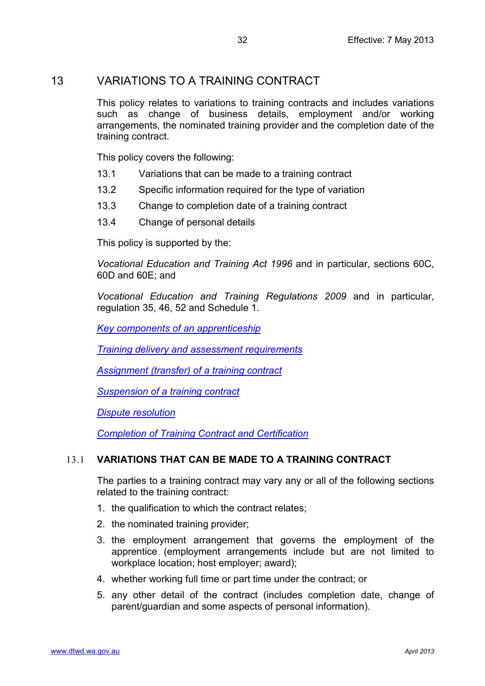## <span id="page-31-0"></span>13 VARIATIONS TO A TRAINING CONTRACT

This policy relates to variations to training contracts and includes variations such as change of business details, employment and/or working arrangements, the nominated training provider and the completion date of the training contract.

This policy covers the following:

- 13.1 Variations that can be made to a training contract
- 13.2 Specific information required for the type of variation
- 13.3 Change to completion date of a training contract
- 13.4 Change of personal details

This policy is supported by the:

*Vocational Education and Training Act 1996* and in particular, sections 60C, 60D and 60E; and

*Vocational Education and Training Regulations 2009* and in particular, regulation 35, 46, 52 and Schedule 1.

*[Key components of an apprenticeship](#page-8-0)*

*[Training delivery and assessment requirements](#page-19-0)*

*[Assignment \(transfer\) of a training contract](#page-36-0)*

*[Suspension of a training contract](#page-43-0)*

*[Dispute resolution](#page-50-0)*

*[Completion of Training Contract and Certification](#page-54-0)*

## <span id="page-31-1"></span>13.1 **VARIATIONS THAT CAN BE MADE TO A TRAINING CONTRACT**

The parties to a training contract may vary any or all of the following sections related to the training contract:

- 1. the qualification to which the contract relates;
- 2. the nominated training provider;
- 3. the employment arrangement that governs the employment of the apprentice (employment arrangements include but are not limited to workplace location; host employer; award);
- 4. whether working full time or part time under the contract; or
- 5. any other detail of the contract (includes completion date, change of parent/guardian and some aspects of personal information).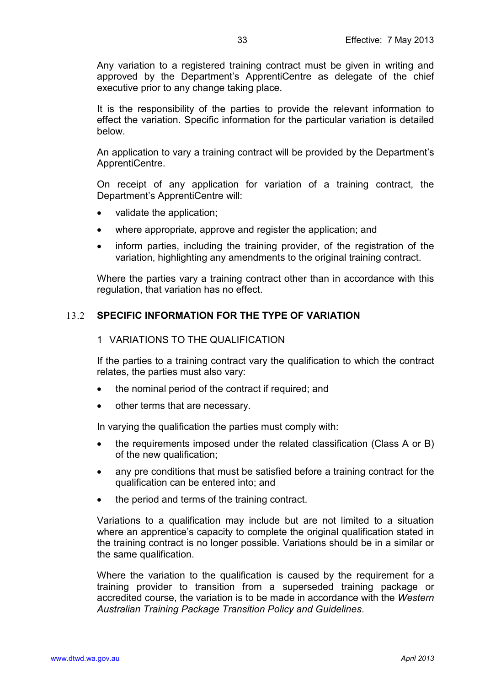Any variation to a registered training contract must be given in writing and approved by the Department's ApprentiCentre as delegate of the chief executive prior to any change taking place.

It is the responsibility of the parties to provide the relevant information to effect the variation. Specific information for the particular variation is detailed below.

An application to vary a training contract will be provided by the Department's ApprentiCentre.

On receipt of any application for variation of a training contract, the Department's ApprentiCentre will:

- validate the application;
- where appropriate, approve and register the application; and
- inform parties, including the training provider, of the registration of the variation, highlighting any amendments to the original training contract.

Where the parties vary a training contract other than in accordance with this regulation, that variation has no effect.

### <span id="page-32-1"></span><span id="page-32-0"></span>13.2 **SPECIFIC INFORMATION FOR THE TYPE OF VARIATION**

#### 1 VARIATIONS TO THE QUALIFICATION

If the parties to a training contract vary the qualification to which the contract relates, the parties must also vary:

- the nominal period of the contract if required; and
- other terms that are necessary.

In varying the qualification the parties must comply with:

- the requirements imposed under the related classification (Class A or B) of the new qualification;
- any pre conditions that must be satisfied before a training contract for the qualification can be entered into; and
- the period and terms of the training contract.

Variations to a qualification may include but are not limited to a situation where an apprentice's capacity to complete the original qualification stated in the training contract is no longer possible. Variations should be in a similar or the same qualification.

Where the variation to the qualification is caused by the requirement for a training provider to transition from a superseded training package or accredited course, the variation is to be made in accordance with the *Western Australian Training Package Transition Policy and Guidelines*.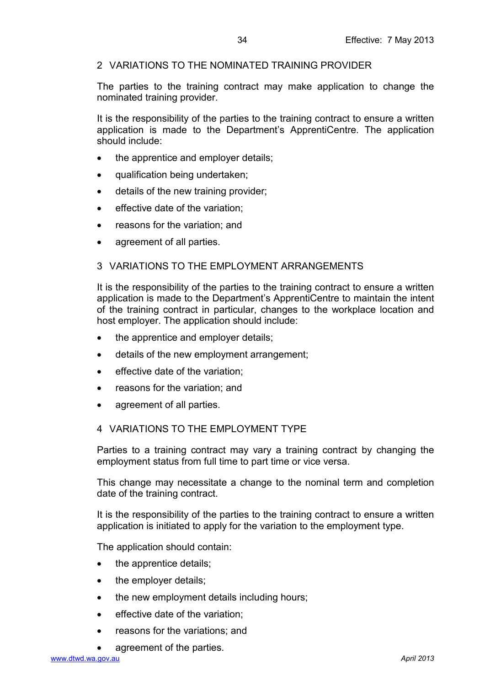## <span id="page-33-0"></span>2 VARIATIONS TO THE NOMINATED TRAINING PROVIDER

The parties to the training contract may make application to change the nominated training provider.

It is the responsibility of the parties to the training contract to ensure a written application is made to the Department's ApprentiCentre. The application should include:

- the apprentice and employer details;
- qualification being undertaken;
- details of the new training provider;
- effective date of the variation;
- reasons for the variation; and
- agreement of all parties.

### <span id="page-33-1"></span>3 VARIATIONS TO THE EMPLOYMENT ARRANGEMENTS

It is the responsibility of the parties to the training contract to ensure a written application is made to the Department's ApprentiCentre to maintain the intent of the training contract in particular, changes to the workplace location and host employer. The application should include:

- the apprentice and employer details:
- details of the new employment arrangement;
- effective date of the variation;
- reasons for the variation; and
- agreement of all parties.

#### <span id="page-33-2"></span>4 VARIATIONS TO THE EMPLOYMENT TYPE

Parties to a training contract may vary a training contract by changing the employment status from full time to part time or vice versa.

This change may necessitate a change to the nominal term and completion date of the training contract.

It is the responsibility of the parties to the training contract to ensure a written application is initiated to apply for the variation to the employment type.

The application should contain:

- the apprentice details;
- the employer details;
- the new employment details including hours;
- effective date of the variation;
- reasons for the variations; and
- agreement of the parties.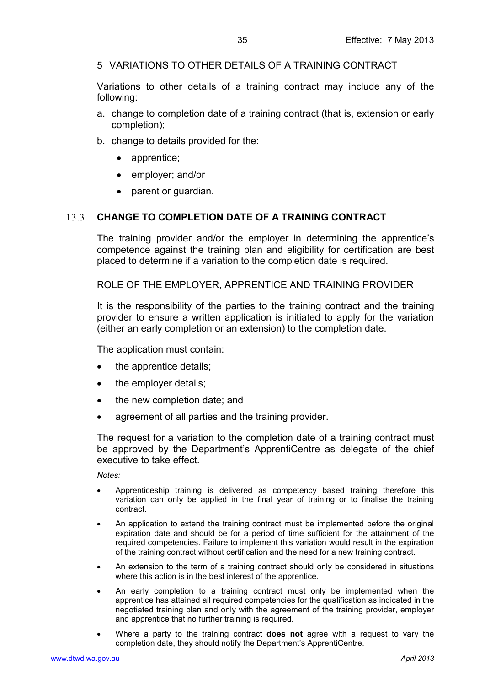<span id="page-34-0"></span>5 VARIATIONS TO OTHER DETAILS OF A TRAINING CONTRACT

Variations to other details of a training contract may include any of the following:

- a. change to completion date of a training contract (that is, extension or early completion);
- b. change to details provided for the:
	- apprentice;
	- employer; and/or
	- parent or guardian.

## <span id="page-34-1"></span>13.3 **CHANGE TO COMPLETION DATE OF A TRAINING CONTRACT**

The training provider and/or the employer in determining the apprentice's competence against the training plan and eligibility for certification are best placed to determine if a variation to the completion date is required.

<span id="page-34-2"></span>ROLE OF THE EMPLOYER, APPRENTICE AND TRAINING PROVIDER

It is the responsibility of the parties to the training contract and the training provider to ensure a written application is initiated to apply for the variation (either an early completion or an extension) to the completion date.

The application must contain:

- the apprentice details;
- the employer details;
- the new completion date; and
- agreement of all parties and the training provider.

The request for a variation to the completion date of a training contract must be approved by the Department's ApprentiCentre as delegate of the chief executive to take effect.

*Notes:*

- Apprenticeship training is delivered as competency based training therefore this variation can only be applied in the final year of training or to finalise the training contract.
- An application to extend the training contract must be implemented before the original expiration date and should be for a period of time sufficient for the attainment of the required competencies. Failure to implement this variation would result in the expiration of the training contract without certification and the need for a new training contract.
- An extension to the term of a training contract should only be considered in situations where this action is in the best interest of the apprentice.
- An early completion to a training contract must only be implemented when the apprentice has attained all required competencies for the qualification as indicated in the negotiated training plan and only with the agreement of the training provider, employer and apprentice that no further training is required.
- Where a party to the training contract **does not** agree with a request to vary the completion date, they should notify the Department's ApprentiCentre.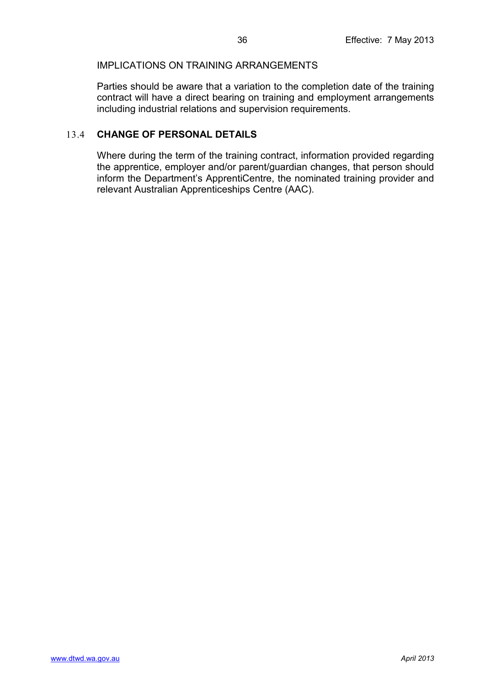### <span id="page-35-0"></span>IMPLICATIONS ON TRAINING ARRANGEMENTS

Parties should be aware that a variation to the completion date of the training contract will have a direct bearing on training and employment arrangements including industrial relations and supervision requirements.

## <span id="page-35-1"></span>13.4 **CHANGE OF PERSONAL DETAILS**

Where during the term of the training contract, information provided regarding the apprentice, employer and/or parent/guardian changes, that person should inform the Department's ApprentiCentre, the nominated training provider and relevant Australian Apprenticeships Centre (AAC).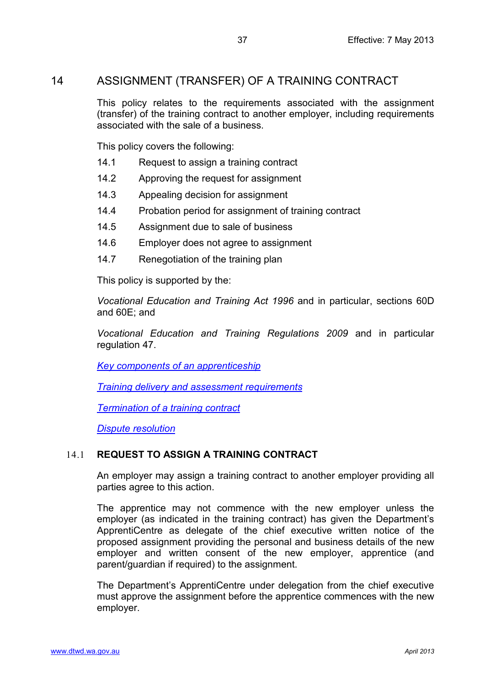## <span id="page-36-0"></span>14 ASSIGNMENT (TRANSFER) OF A TRAINING CONTRACT

This policy relates to the requirements associated with the assignment (transfer) of the training contract to another employer, including requirements associated with the sale of a business.

This policy covers the following:

- 14.1 Request to assign a training contract
- 14.2 Approving the request for assignment
- 14.3 Appealing decision for assignment
- 14.4 Probation period for assignment of training contract
- 14.5 Assignment due to sale of business
- 14.6 Employer does not agree to assignment
- 14.7 Renegotiation of the training plan

This policy is supported by the:

*Vocational Education and Training Act 1996* and in particular, sections 60D and 60E; and

*Vocational Education and Training Regulations 2009* and in particular regulation 47.

*[Key components of an apprenticeship](#page-8-0)*

*[Training delivery and assessment requirements](#page-19-0)*

*[Termination of a training contract](#page-39-0)*

*[Dispute resolution](#page-50-0)*

## <span id="page-36-1"></span>14.1 **REQUEST TO ASSIGN A TRAINING CONTRACT**

An employer may assign a training contract to another employer providing all parties agree to this action.

The apprentice may not commence with the new employer unless the employer (as indicated in the training contract) has given the Department's ApprentiCentre as delegate of the chief executive written notice of the proposed assignment providing the personal and business details of the new employer and written consent of the new employer, apprentice (and parent/guardian if required) to the assignment.

The Department's ApprentiCentre under delegation from the chief executive must approve the assignment before the apprentice commences with the new employer.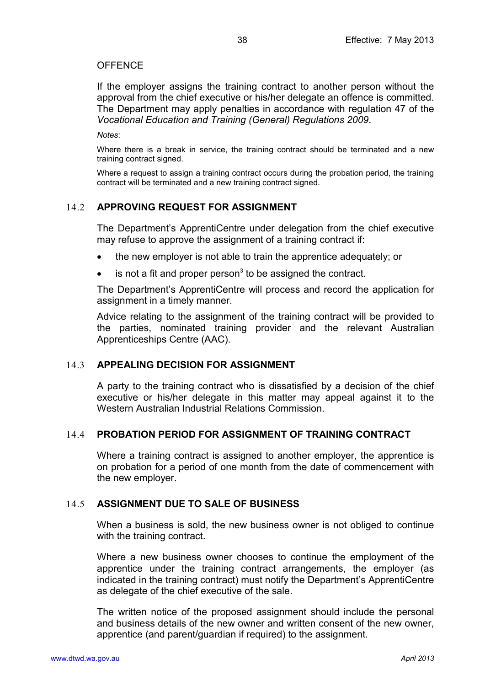#### <span id="page-37-0"></span>**OFFENCE**

If the employer assigns the training contract to another person without the approval from the chief executive or his/her delegate an offence is committed. The Department may apply penalties in accordance with regulation 47 of the *Vocational Education and Training (General) Regulations 2009*.

*Notes*:

Where there is a break in service, the training contract should be terminated and a new training contract signed.

Where a request to assign a training contract occurs during the probation period, the training contract will be terminated and a new training contract signed.

### <span id="page-37-1"></span>14.2 **APPROVING REQUEST FOR ASSIGNMENT**

The Department's ApprentiCentre under delegation from the chief executive may refuse to approve the assignment of a training contract if:

- the new employer is not able to train the apprentice adequately; or
- $\bullet$  is not a fit and proper person<sup>3</sup> to be assigned the contract.

The Department's ApprentiCentre will process and record the application for assignment in a timely manner.

Advice relating to the assignment of the training contract will be provided to the parties, nominated training provider and the relevant Australian Apprenticeships Centre (AAC).

#### <span id="page-37-2"></span>14.3 **APPEALING DECISION FOR ASSIGNMENT**

A party to the training contract who is dissatisfied by a decision of the chief executive or his/her delegate in this matter may appeal against it to the Western Australian Industrial Relations Commission.

#### <span id="page-37-3"></span>14.4 **PROBATION PERIOD FOR ASSIGNMENT OF TRAINING CONTRACT**

Where a training contract is assigned to another employer, the apprentice is on probation for a period of one month from the date of commencement with the new employer.

## <span id="page-37-4"></span>14.5 **ASSIGNMENT DUE TO SALE OF BUSINESS**

When a business is sold, the new business owner is not obliged to continue with the training contract.

Where a new business owner chooses to continue the employment of the apprentice under the training contract arrangements, the employer (as indicated in the training contract) must notify the Department's ApprentiCentre as delegate of the chief executive of the sale.

The written notice of the proposed assignment should include the personal and business details of the new owner and written consent of the new owner, apprentice (and parent/guardian if required) to the assignment.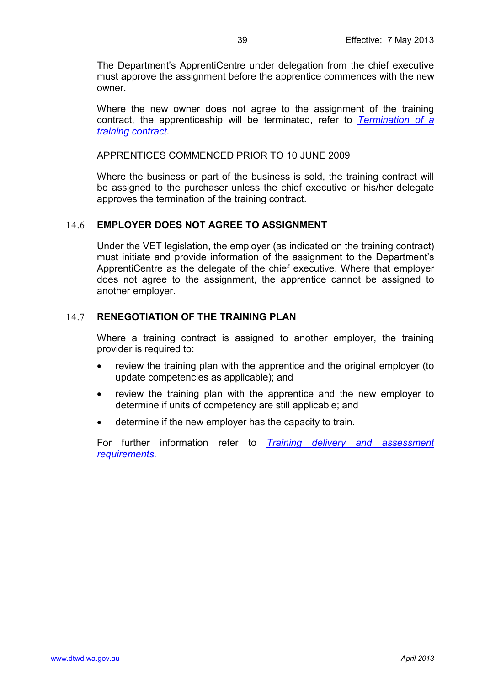The Department's ApprentiCentre under delegation from the chief executive must approve the assignment before the apprentice commences with the new owner.

Where the new owner does not agree to the assignment of the training contract, the apprenticeship will be terminated, refer to *[Termination of a](#page-39-0)  [training contract](#page-39-0)*.

<span id="page-38-0"></span>APPRENTICES COMMENCED PRIOR TO 10 JUNE 2009

Where the business or part of the business is sold, the training contract will be assigned to the purchaser unless the chief executive or his/her delegate approves the termination of the training contract.

### <span id="page-38-1"></span>14.6 **EMPLOYER DOES NOT AGREE TO ASSIGNMENT**

Under the VET legislation, the employer (as indicated on the training contract) must initiate and provide information of the assignment to the Department's ApprentiCentre as the delegate of the chief executive. Where that employer does not agree to the assignment, the apprentice cannot be assigned to another employer.

#### <span id="page-38-2"></span>14.7 **RENEGOTIATION OF THE TRAINING PLAN**

Where a training contract is assigned to another employer, the training provider is required to:

- review the training plan with the apprentice and the original employer (to update competencies as applicable); and
- review the training plan with the apprentice and the new employer to determine if units of competency are still applicable; and
- determine if the new employer has the capacity to train.

For further information refer to *[Training delivery and assessment](#page-19-0)  [requirements.](#page-19-0)*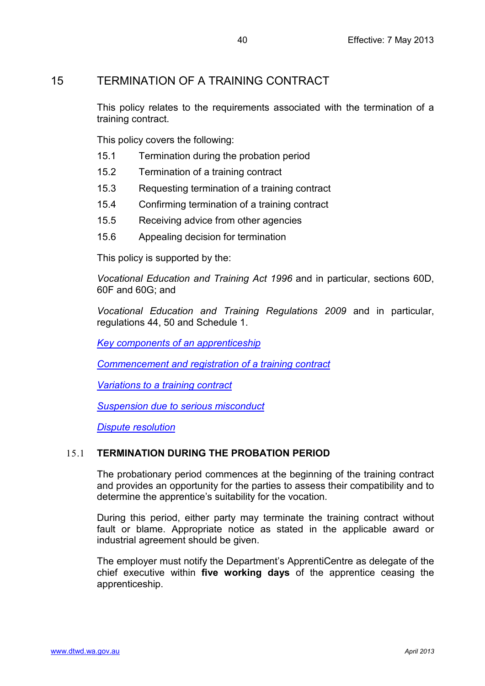## <span id="page-39-0"></span>15 TERMINATION OF A TRAINING CONTRACT

This policy relates to the requirements associated with the termination of a training contract.

This policy covers the following:

- 15.1 Termination during the probation period
- 15.2 Termination of a training contract
- 15.3 Requesting termination of a training contract
- 15.4 Confirming termination of a training contract
- 15.5 Receiving advice from other agencies
- 15.6 Appealing decision for termination

This policy is supported by the:

*Vocational Education and Training Act 1996* and in particular, sections 60D, 60F and 60G; and

*Vocational Education and Training Regulations 2009* and in particular, regulations 44, 50 and Schedule 1.

*[Key components of an apprenticeship](#page-8-0)*

*[Commencement and registration of a training contract](#page-27-0)*

*[Variations to a training contract](#page-31-0)*

*[Suspension due to serious misconduct](#page-46-0)*

*[Dispute resolution](#page-50-0)*

## <span id="page-39-1"></span>15.1 **TERMINATION DURING THE PROBATION PERIOD**

The probationary period commences at the beginning of the training contract and provides an opportunity for the parties to assess their compatibility and to determine the apprentice's suitability for the vocation.

During this period, either party may terminate the training contract without fault or blame. Appropriate notice as stated in the applicable award or industrial agreement should be given.

The employer must notify the Department's ApprentiCentre as delegate of the chief executive within **five working days** of the apprentice ceasing the apprenticeship.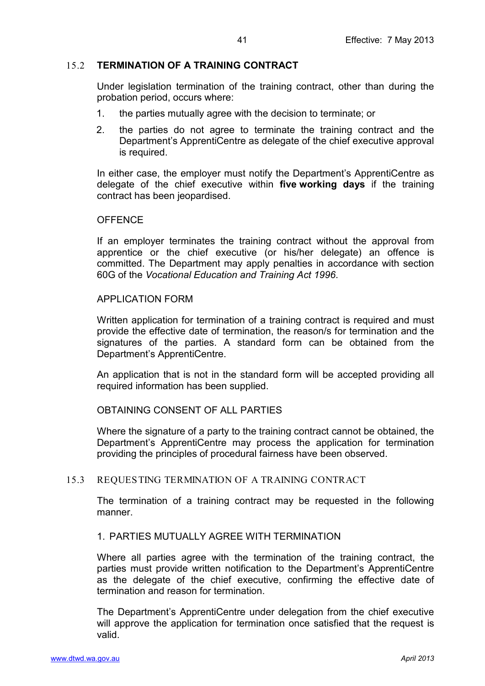### <span id="page-40-0"></span>15.2 **TERMINATION OF A TRAINING CONTRACT**

Under legislation termination of the training contract, other than during the probation period, occurs where:

- 1. the parties mutually agree with the decision to terminate; or
- 2. the parties do not agree to terminate the training contract and the Department's ApprentiCentre as delegate of the chief executive approval is required.

In either case, the employer must notify the Department's ApprentiCentre as delegate of the chief executive within **five working days** if the training contract has been jeopardised.

#### <span id="page-40-1"></span>**OFFENCE**

If an employer terminates the training contract without the approval from apprentice or the chief executive (or his/her delegate) an offence is committed. The Department may apply penalties in accordance with section 60G of the *Vocational Education and Training Act 1996*.

#### <span id="page-40-2"></span>APPLICATION FORM

Written application for termination of a training contract is required and must provide the effective date of termination, the reason/s for termination and the signatures of the parties. A standard form can be obtained from the Department's ApprentiCentre.

An application that is not in the standard form will be accepted providing all required information has been supplied.

#### <span id="page-40-3"></span>OBTAINING CONSENT OF ALL PARTIES

Where the signature of a party to the training contract cannot be obtained, the Department's ApprentiCentre may process the application for termination providing the principles of procedural fairness have been observed.

#### <span id="page-40-5"></span><span id="page-40-4"></span>15.3 REQUESTING TERMINATION OF A TRAINING CONTRACT

The termination of a training contract may be requested in the following manner.

#### 1. PARTIES MUTUALLY AGREE WITH TERMINATION

Where all parties agree with the termination of the training contract, the parties must provide written notification to the Department's ApprentiCentre as the delegate of the chief executive, confirming the effective date of termination and reason for termination.

The Department's ApprentiCentre under delegation from the chief executive will approve the application for termination once satisfied that the request is valid.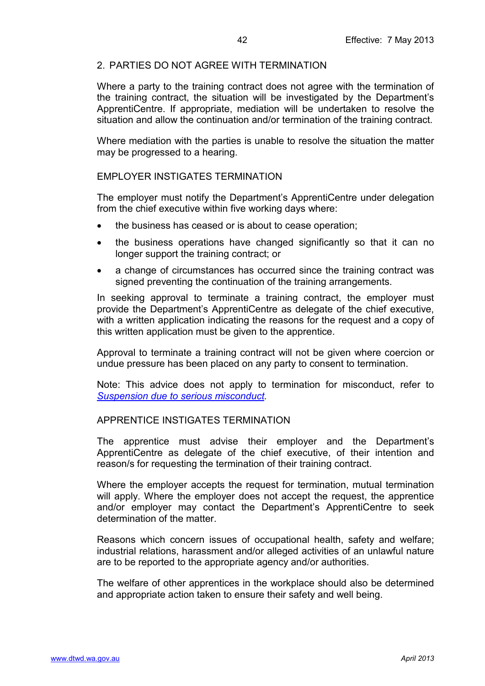## <span id="page-41-0"></span>2. PARTIES DO NOT AGREE WITH TERMINATION

Where a party to the training contract does not agree with the termination of the training contract, the situation will be investigated by the Department's ApprentiCentre. If appropriate, mediation will be undertaken to resolve the situation and allow the continuation and/or termination of the training contract.

Where mediation with the parties is unable to resolve the situation the matter may be progressed to a hearing.

#### <span id="page-41-1"></span>EMPLOYER INSTIGATES TERMINATION

The employer must notify the Department's ApprentiCentre under delegation from the chief executive within five working days where:

- the business has ceased or is about to cease operation;
- the business operations have changed significantly so that it can no longer support the training contract; or
- a change of circumstances has occurred since the training contract was signed preventing the continuation of the training arrangements.

In seeking approval to terminate a training contract, the employer must provide the Department's ApprentiCentre as delegate of the chief executive, with a written application indicating the reasons for the request and a copy of this written application must be given to the apprentice.

Approval to terminate a training contract will not be given where coercion or undue pressure has been placed on any party to consent to termination.

Note: This advice does not apply to termination for misconduct, refer to *[Suspension due to serious misconduct.](#page-46-0)*

#### <span id="page-41-2"></span>APPRENTICE INSTIGATES TERMINATION

The apprentice must advise their employer and the Department's ApprentiCentre as delegate of the chief executive, of their intention and reason/s for requesting the termination of their training contract.

Where the employer accepts the request for termination, mutual termination will apply. Where the employer does not accept the request, the apprentice and/or employer may contact the Department's ApprentiCentre to seek determination of the matter.

Reasons which concern issues of occupational health, safety and welfare; industrial relations, harassment and/or alleged activities of an unlawful nature are to be reported to the appropriate agency and/or authorities.

The welfare of other apprentices in the workplace should also be determined and appropriate action taken to ensure their safety and well being.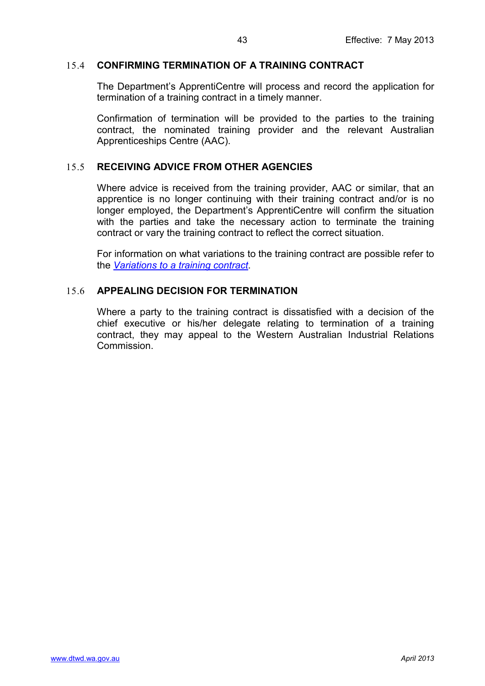### <span id="page-42-0"></span>15.4 **CONFIRMING TERMINATION OF A TRAINING CONTRACT**

The Department's ApprentiCentre will process and record the application for termination of a training contract in a timely manner.

Confirmation of termination will be provided to the parties to the training contract, the nominated training provider and the relevant Australian Apprenticeships Centre (AAC).

### <span id="page-42-1"></span>15.5 **RECEIVING ADVICE FROM OTHER AGENCIES**

Where advice is received from the training provider, AAC or similar, that an apprentice is no longer continuing with their training contract and/or is no longer employed, the Department's ApprentiCentre will confirm the situation with the parties and take the necessary action to terminate the training contract or vary the training contract to reflect the correct situation.

For information on what variations to the training contract are possible refer to the *[Variations to a training contract](#page-31-0)*.

## <span id="page-42-2"></span>15.6 **APPEALING DECISION FOR TERMINATION**

Where a party to the training contract is dissatisfied with a decision of the chief executive or his/her delegate relating to termination of a training contract, they may appeal to the Western Australian Industrial Relations **Commission**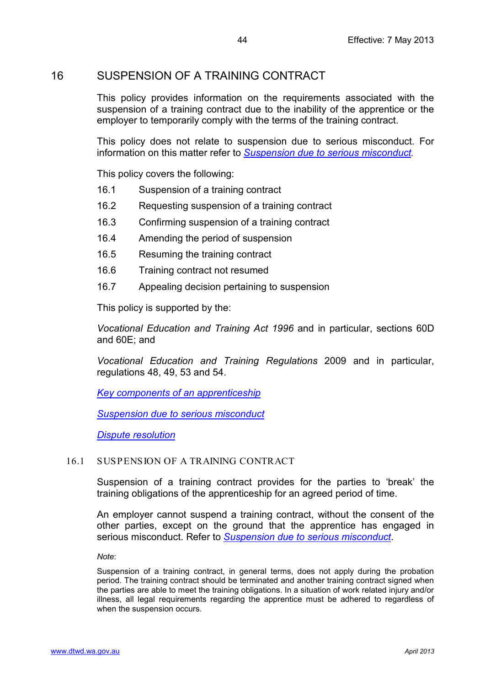## <span id="page-43-0"></span>16 SUSPENSION OF A TRAINING CONTRACT

This policy provides information on the requirements associated with the suspension of a training contract due to the inability of the apprentice or the employer to temporarily comply with the terms of the training contract.

This policy does not relate to suspension due to serious misconduct. For information on this matter refer to *[Suspension due to serious misconduct.](#page-46-0)*

This policy covers the following:

- 16.1 Suspension of a training contract
- 16.2 Requesting suspension of a training contract
- 16.3 Confirming suspension of a training contract
- 16.4 Amending the period of suspension
- 16.5 Resuming the training contract
- 16.6 Training contract not resumed
- 16.7 Appealing decision pertaining to suspension

This policy is supported by the:

*Vocational Education and Training Act 1996* and in particular, sections 60D and 60E; and

*Vocational Education and Training Regulations* 2009 and in particular, regulations 48, 49, 53 and 54.

*[Key components of an apprenticeship](#page-8-0)*

*[Suspension due to serious misconduct](#page-46-0)*

*[Dispute resolution](#page-50-0)*

#### <span id="page-43-1"></span>16.1 SUSPENSION OF A TRAINING CONTRACT

Suspension of a training contract provides for the parties to 'break' the training obligations of the apprenticeship for an agreed period of time.

An employer cannot suspend a training contract, without the consent of the other parties, except on the ground that the apprentice has engaged in serious misconduct. Refer to *[Suspension due to serious misconduct](#page-46-0)*.

*Note*:

Suspension of a training contract, in general terms, does not apply during the probation period. The training contract should be terminated and another training contract signed when the parties are able to meet the training obligations. In a situation of work related injury and/or illness, all legal requirements regarding the apprentice must be adhered to regardless of when the suspension occurs.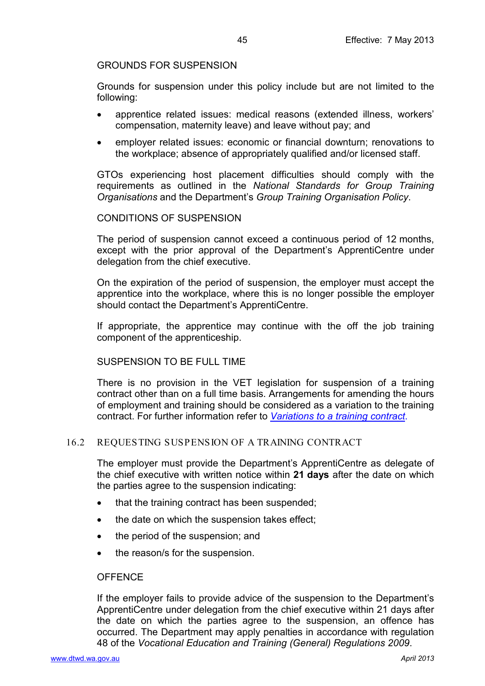#### <span id="page-44-0"></span>GROUNDS FOR SUSPENSION

Grounds for suspension under this policy include but are not limited to the following:

- apprentice related issues: medical reasons (extended illness, workers' compensation, maternity leave) and leave without pay; and
- employer related issues: economic or financial downturn; renovations to the workplace; absence of appropriately qualified and/or licensed staff.

GTOs experiencing host placement difficulties should comply with the requirements as outlined in the *National Standards for Group Training Organisations* and the Department's *Group Training Organisation Policy*.

#### CONDITIONS OF SUSPENSION

The period of suspension cannot exceed a continuous period of 12 months, except with the prior approval of the Department's ApprentiCentre under delegation from the chief executive.

On the expiration of the period of suspension, the employer must accept the apprentice into the workplace, where this is no longer possible the employer should contact the Department's ApprentiCentre.

If appropriate, the apprentice may continue with the off the job training component of the apprenticeship.

## <span id="page-44-1"></span>SUSPENSION TO BE FULL TIME

There is no provision in the VET legislation for suspension of a training contract other than on a full time basis. Arrangements for amending the hours of employment and training should be considered as a variation to the training contract. For further information refer to *[Variations to a training contract](#page-31-0)*.

#### <span id="page-44-2"></span>16.2 REQUESTING SUSPENSION OF A TRAINING CONTRACT

The employer must provide the Department's ApprentiCentre as delegate of the chief executive with written notice within **21 days** after the date on which the parties agree to the suspension indicating:

- that the training contract has been suspended:
- the date on which the suspension takes effect;
- the period of the suspension; and
- the reason/s for the suspension.

#### <span id="page-44-3"></span>**OFFENCE**

If the employer fails to provide advice of the suspension to the Department's ApprentiCentre under delegation from the chief executive within 21 days after the date on which the parties agree to the suspension, an offence has occurred. The Department may apply penalties in accordance with regulation 48 of the *Vocational Education and Training (General) Regulations 2009*.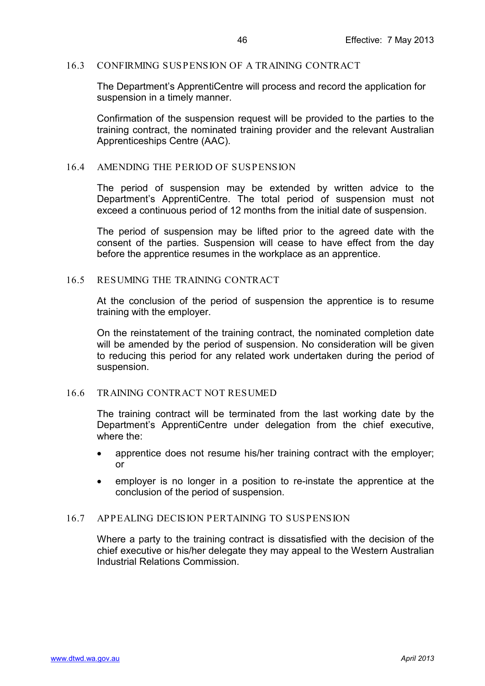#### <span id="page-45-0"></span>16.3 CONFIRMING SUSPENSION OF A TRAINING CONTRACT

The Department's ApprentiCentre will process and record the application for suspension in a timely manner.

Confirmation of the suspension request will be provided to the parties to the training contract, the nominated training provider and the relevant Australian Apprenticeships Centre (AAC).

#### <span id="page-45-1"></span>16.4 AMENDING THE PERIOD OF SUSPENSION

The period of suspension may be extended by written advice to the Department's ApprentiCentre. The total period of suspension must not exceed a continuous period of 12 months from the initial date of suspension.

The period of suspension may be lifted prior to the agreed date with the consent of the parties. Suspension will cease to have effect from the day before the apprentice resumes in the workplace as an apprentice.

#### <span id="page-45-2"></span>16.5 RESUMING THE TRAINING CONTRACT

At the conclusion of the period of suspension the apprentice is to resume training with the employer.

On the reinstatement of the training contract, the nominated completion date will be amended by the period of suspension. No consideration will be given to reducing this period for any related work undertaken during the period of suspension.

#### <span id="page-45-3"></span>16.6 TRAINING CONTRACT NOT RESUMED

The training contract will be terminated from the last working date by the Department's ApprentiCentre under delegation from the chief executive. where the:

- apprentice does not resume his/her training contract with the employer: or
- employer is no longer in a position to re-instate the apprentice at the conclusion of the period of suspension.

#### <span id="page-45-4"></span>16.7 APPEALING DECISION PERTAINING TO SUSPENSION

Where a party to the training contract is dissatisfied with the decision of the chief executive or his/her delegate they may appeal to the Western Australian Industrial Relations Commission.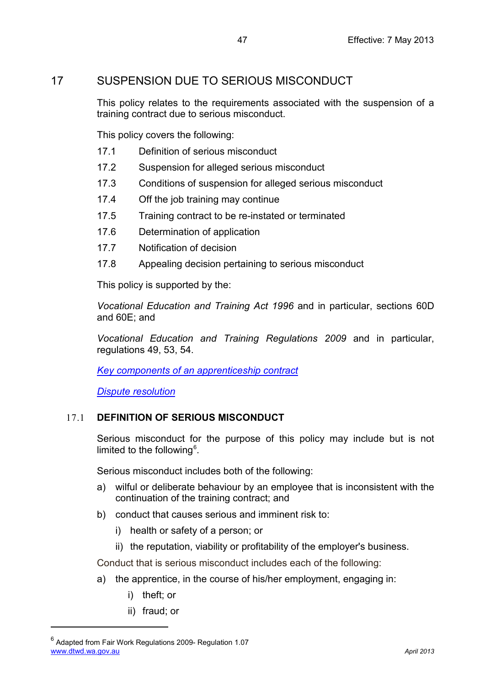# <span id="page-46-0"></span>17 SUSPENSION DUE TO SERIOUS MISCONDUCT

This policy relates to the requirements associated with the suspension of a training contract due to serious misconduct.

This policy covers the following:

- 17.1 Definition of serious misconduct
- 17.2 Suspension for alleged serious misconduct
- 17.3 Conditions of suspension for alleged serious misconduct
- 17.4 Off the job training may continue
- 17.5 Training contract to be re-instated or terminated
- 17.6 Determination of application
- 17.7 Notification of decision
- 17.8 Appealing decision pertaining to serious misconduct

This policy is supported by the:

*Vocational Education and Training Act 1996* and in particular, sections 60D and 60E; and

*Vocational Education and Training Regulations 2009* and in particular, regulations 49, 53, 54.

*[Key components of an apprenticeship contract](#page-8-0)*

*[Dispute resolution](#page-50-0)*

## <span id="page-46-1"></span>17.1 **DEFINITION OF SERIOUS MISCONDUCT**

Serious misconduct for the purpose of this policy may include but is not limited to the following $6$ .

Serious misconduct includes both of the following:

- a) wilful or deliberate behaviour by an employee that is inconsistent with the continuation of the training [contract;](http://www.rurallaw.org.au/handbook/xml/go01.php#id3788589) and
- b) conduct that causes serious and imminent risk to:
	- i) health or safety of a person; or
	- ii) the reputation, viability or profitability of the employer's business.

Conduct that is serious misconduct includes each of the following:

- a) the apprentice, in the course of his/her employment, engaging in:
	- i) theft; or
	- ii) fraud; or

 $\overline{a}$ 

<span id="page-46-2"></span>[www.dtwd.wa.gov.au](http://www.dtwd.wa.gov.au/) *April 2013*  $6$  Adapted from Fair Work Regulations 2009- Regulation 1.07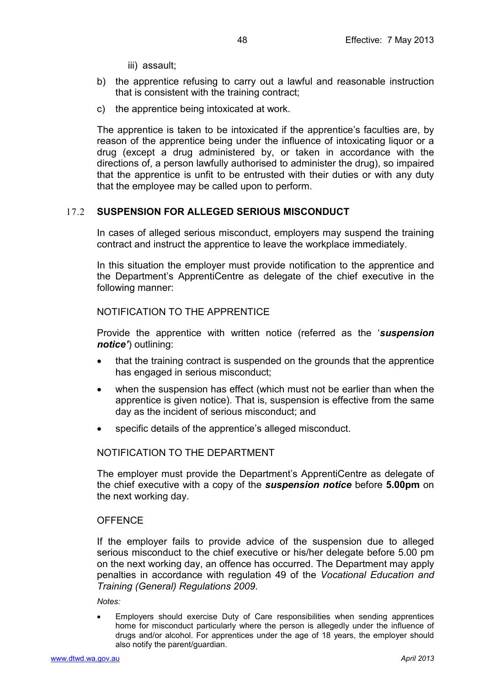- iii) assault;
- b) the apprentice refusing to carry out a lawful and reasonable instruction that is consistent with the training contract;
- c) the apprentice being intoxicated at work.

The apprentice is taken to be intoxicated if the apprentice's faculties are, by reason of the apprentice being under the influence of intoxicating liquor or a drug (except a drug administered by, or taken in accordance with the directions of, a person lawfully authorised to administer the drug), so impaired that the apprentice is unfit to be entrusted with their duties or with any duty that the employee may be called upon to perform.

## <span id="page-47-0"></span>17.2 **SUSPENSION FOR ALLEGED SERIOUS MISCONDUCT**

In cases of alleged serious misconduct, employers may suspend the training contract and instruct the apprentice to leave the workplace immediately.

In this situation the employer must provide notification to the apprentice and the Department's ApprentiCentre as delegate of the chief executive in the following manner:

#### <span id="page-47-1"></span>NOTIFICATION TO THE APPRENTICE

Provide the apprentice with written notice (referred as the '*suspension notice'*) outlining:

- that the training contract is suspended on the grounds that the apprentice has engaged in serious misconduct;
- when the suspension has effect (which must not be earlier than when the apprentice is given notice). That is, suspension is effective from the same day as the incident of serious misconduct; and
- specific details of the apprentice's alleged misconduct.

#### <span id="page-47-2"></span>NOTIFICATION TO THE DEPARTMENT

The employer must provide the Department's ApprentiCentre as delegate of the chief executive with a copy of the *suspension notice* before **5.00pm** on the next working day.

#### <span id="page-47-3"></span>**OFFENCE**

If the employer fails to provide advice of the suspension due to alleged serious misconduct to the chief executive or his/her delegate before 5.00 pm on the next working day, an offence has occurred. The Department may apply penalties in accordance with regulation 49 of the *Vocational Education and Training (General) Regulations 2009*.

*Notes:*

• Employers should exercise Duty of Care responsibilities when sending apprentices home for misconduct particularly where the person is allegedly under the influence of drugs and/or alcohol. For apprentices under the age of 18 years, the employer should also notify the parent/guardian.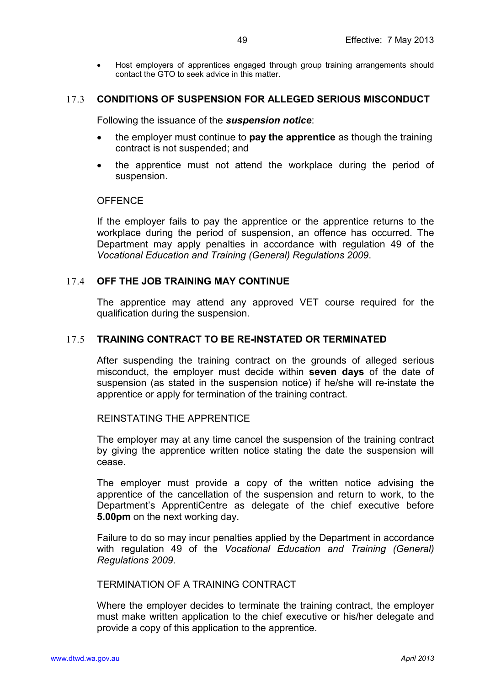• Host employers of apprentices engaged through group training arrangements should contact the GTO to seek advice in this matter.

#### <span id="page-48-0"></span>17.3 **CONDITIONS OF SUSPENSION FOR ALLEGED SERIOUS MISCONDUCT**

Following the issuance of the *suspension notice*:

- the employer must continue to **pay the apprentice** as though the training contract is not suspended; and
- the apprentice must not attend the workplace during the period of suspension.

#### <span id="page-48-1"></span>**OFFENCE**

If the employer fails to pay the apprentice or the apprentice returns to the workplace during the period of suspension, an offence has occurred. The Department may apply penalties in accordance with regulation 49 of the *Vocational Education and Training (General) Regulations 2009*.

### <span id="page-48-2"></span>17.4 **OFF THE JOB TRAINING MAY CONTINUE**

The apprentice may attend any approved VET course required for the qualification during the suspension.

#### <span id="page-48-3"></span>17.5 **TRAINING CONTRACT TO BE RE-INSTATED OR TERMINATED**

After suspending the training contract on the grounds of alleged serious misconduct, the employer must decide within **seven days** of the date of suspension (as stated in the suspension notice) if he/she will re-instate the apprentice or apply for termination of the training contract.

### <span id="page-48-4"></span>REINSTATING THE APPRENTICE

The employer may at any time cancel the suspension of the training contract by giving the apprentice written notice stating the date the suspension will cease.

The employer must provide a copy of the written notice advising the apprentice of the cancellation of the suspension and return to work, to the Department's ApprentiCentre as delegate of the chief executive before **5.00pm** on the next working day.

Failure to do so may incur penalties applied by the Department in accordance with regulation 49 of the *Vocational Education and Training (General) Regulations 2009*.

<span id="page-48-5"></span>TERMINATION OF A TRAINING CONTRACT

Where the employer decides to terminate the training contract, the employer must make written application to the chief executive or his/her delegate and provide a copy of this application to the apprentice.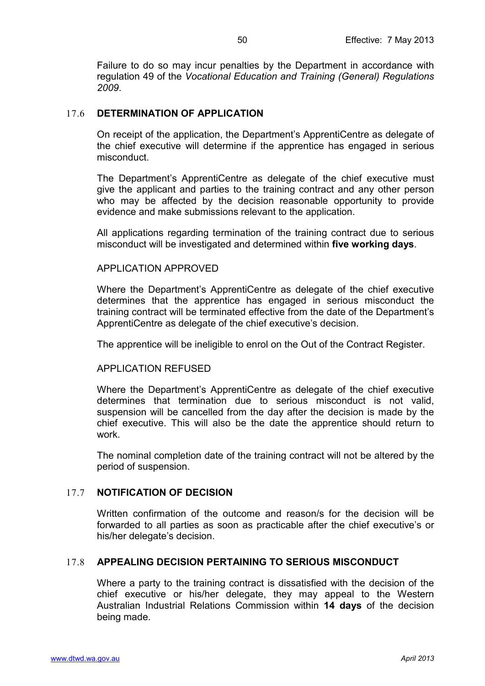Failure to do so may incur penalties by the Department in accordance with regulation 49 of the *Vocational Education and Training (General) Regulations 2009*.

#### <span id="page-49-0"></span>17.6 **DETERMINATION OF APPLICATION**

On receipt of the application, the Department's ApprentiCentre as delegate of the chief executive will determine if the apprentice has engaged in serious misconduct.

The Department's ApprentiCentre as delegate of the chief executive must give the applicant and parties to the training contract and any other person who may be affected by the decision reasonable opportunity to provide evidence and make submissions relevant to the application.

All applications regarding termination of the training contract due to serious misconduct will be investigated and determined within **five working days**.

#### <span id="page-49-1"></span>APPLICATION APPROVED

Where the Department's ApprentiCentre as delegate of the chief executive determines that the apprentice has engaged in serious misconduct the training contract will be terminated effective from the date of the Department's ApprentiCentre as delegate of the chief executive's decision.

The apprentice will be ineligible to enrol on the Out of the Contract Register.

#### <span id="page-49-2"></span>APPLICATION REFUSED

Where the Department's ApprentiCentre as delegate of the chief executive determines that termination due to serious misconduct is not valid, suspension will be cancelled from the day after the decision is made by the chief executive. This will also be the date the apprentice should return to work.

The nominal completion date of the training contract will not be altered by the period of suspension.

#### <span id="page-49-3"></span>17.7 **NOTIFICATION OF DECISION**

Written confirmation of the outcome and reason/s for the decision will be forwarded to all parties as soon as practicable after the chief executive's or his/her delegate's decision.

#### <span id="page-49-4"></span>17.8 **APPEALING DECISION PERTAINING TO SERIOUS MISCONDUCT**

Where a party to the training contract is dissatisfied with the decision of the chief executive or his/her delegate, they may appeal to the Western Australian Industrial Relations Commission within **14 days** of the decision being made.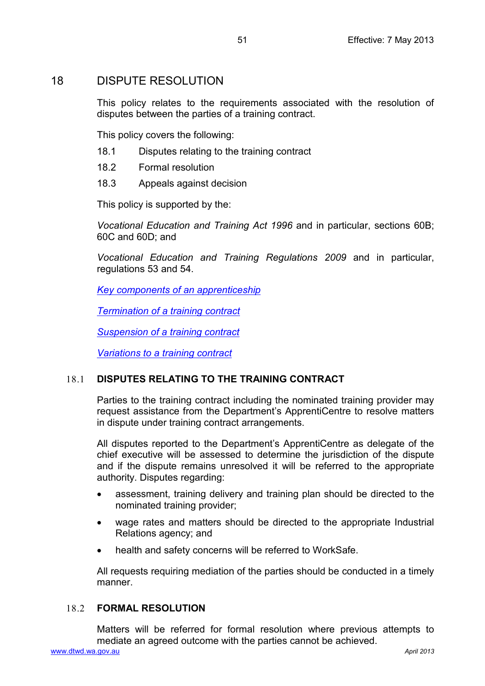## <span id="page-50-0"></span>18 DISPUTE RESOLUTION

This policy relates to the requirements associated with the resolution of disputes between the parties of a training contract.

This policy covers the following:

- 18.1 Disputes relating to the training contract
- 18.2 Formal resolution
- 18.3 Appeals against decision

This policy is supported by the:

*Vocational Education and Training Act 1996* and in particular, sections 60B; 60C and 60D; and

*Vocational Education and Training Regulations 2009* and in particular, regulations 53 and 54.

*[Key components of an apprenticeship](#page-8-0)*

*[Termination of a training contract](#page-39-0)*

*[Suspension of a training contract](#page-43-0)*

*[Variations to a training contract](#page-31-0)*

## <span id="page-50-1"></span>18.1 **DISPUTES RELATING TO THE TRAINING CONTRACT**

Parties to the training contract including the nominated training provider may request assistance from the Department's ApprentiCentre to resolve matters in dispute under training contract arrangements.

All disputes reported to the Department's ApprentiCentre as delegate of the chief executive will be assessed to determine the jurisdiction of the dispute and if the dispute remains unresolved it will be referred to the appropriate authority. Disputes regarding:

- assessment, training delivery and training plan should be directed to the nominated training provider;
- wage rates and matters should be directed to the appropriate Industrial Relations agency; and
- health and safety concerns will be referred to WorkSafe.

All requests requiring mediation of the parties should be conducted in a timely manner.

## <span id="page-50-2"></span>18.2 **FORMAL RESOLUTION**

Matters will be referred for formal resolution where previous attempts to mediate an agreed outcome with the parties cannot be achieved.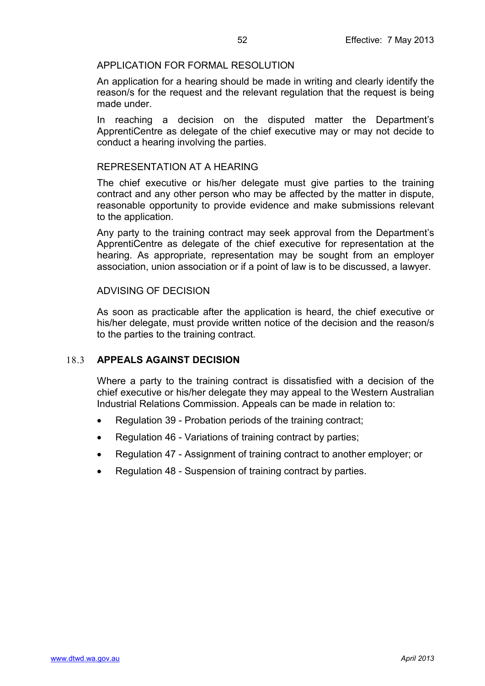#### <span id="page-51-0"></span>APPLICATION FOR FORMAL RESOLUTION

An application for a hearing should be made in writing and clearly identify the reason/s for the request and the relevant regulation that the request is being made under.

In reaching a decision on the disputed matter the Department's ApprentiCentre as delegate of the chief executive may or may not decide to conduct a hearing involving the parties.

### <span id="page-51-1"></span>REPRESENTATION AT A HEARING

The chief executive or his/her delegate must give parties to the training contract and any other person who may be affected by the matter in dispute, reasonable opportunity to provide evidence and make submissions relevant to the application.

Any party to the training contract may seek approval from the Department's ApprentiCentre as delegate of the chief executive for representation at the hearing. As appropriate, representation may be sought from an employer association, union association or if a point of law is to be discussed, a lawyer.

### <span id="page-51-2"></span>ADVISING OF DECISION

As soon as practicable after the application is heard, the chief executive or his/her delegate, must provide written notice of the decision and the reason/s to the parties to the training contract.

#### <span id="page-51-3"></span>18.3 **APPEALS AGAINST DECISION**

Where a party to the training contract is dissatisfied with a decision of the chief executive or his/her delegate they may appeal to the Western Australian Industrial Relations Commission. Appeals can be made in relation to:

- Regulation 39 Probation periods of the training contract;
- Regulation 46 Variations of training contract by parties;
- Regulation 47 Assignment of training contract to another employer; or
- Regulation 48 Suspension of training contract by parties.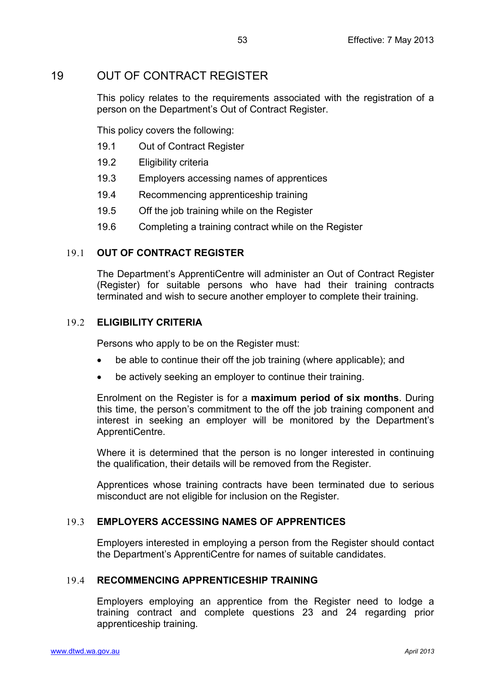# <span id="page-52-0"></span>19 OUT OF CONTRACT REGISTER

This policy relates to the requirements associated with the registration of a person on the Department's Out of Contract Register.

This policy covers the following:

- 19.1 Out of Contract Register
- 19.2 Eligibility criteria
- 19.3 Employers accessing names of apprentices
- 19.4 Recommencing apprenticeship training
- 19.5 Off the job training while on the Register
- 19.6 Completing a training contract while on the Register

## <span id="page-52-1"></span>19.1 **OUT OF CONTRACT REGISTER**

The Department's ApprentiCentre will administer an Out of Contract Register (Register) for suitable persons who have had their training contracts terminated and wish to secure another employer to complete their training.

## <span id="page-52-2"></span>19.2 **ELIGIBILITY CRITERIA**

Persons who apply to be on the Register must:

- be able to continue their off the job training (where applicable); and
- be actively seeking an employer to continue their training.

Enrolment on the Register is for a **maximum period of six months**. During this time, the person's commitment to the off the job training component and interest in seeking an employer will be monitored by the Department's ApprentiCentre.

Where it is determined that the person is no longer interested in continuing the qualification, their details will be removed from the Register.

Apprentices whose training contracts have been terminated due to serious misconduct are not eligible for inclusion on the Register.

## <span id="page-52-3"></span>19.3 **EMPLOYERS ACCESSING NAMES OF APPRENTICES**

Employers interested in employing a person from the Register should contact the Department's ApprentiCentre for names of suitable candidates.

## <span id="page-52-4"></span>19.4 **RECOMMENCING APPRENTICESHIP TRAINING**

Employers employing an apprentice from the Register need to lodge a training contract and complete questions 23 and 24 regarding prior apprenticeship training.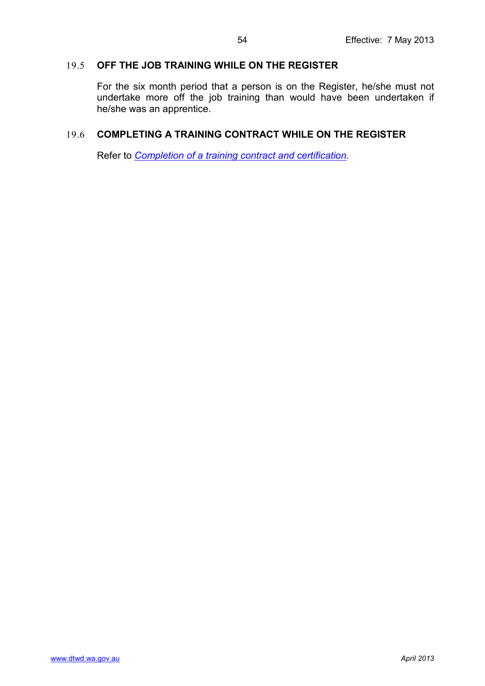## <span id="page-53-0"></span>19.5 **OFF THE JOB TRAINING WHILE ON THE REGISTER**

For the six month period that a person is on the Register, he/she must not undertake more off the job training than would have been undertaken if he/she was an apprentice.

## <span id="page-53-1"></span>19.6 **COMPLETING A TRAINING CONTRACT WHILE ON THE REGISTER**

Refer to *[Completion of a training contract and certification.](#page-54-0)*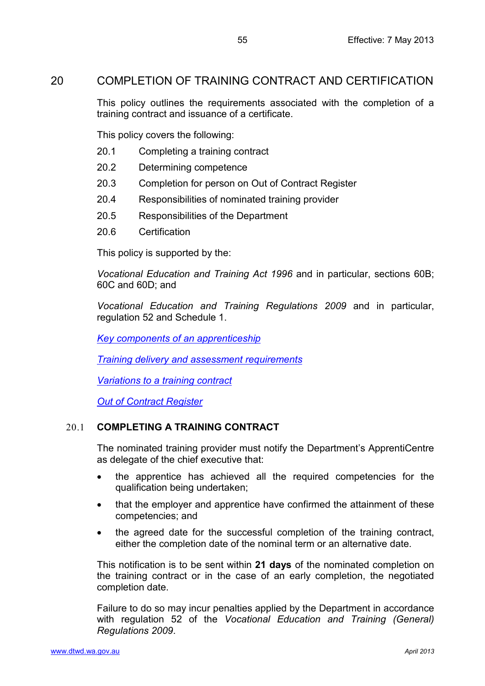## <span id="page-54-0"></span>20 COMPLETION OF TRAINING CONTRACT AND CERTIFICATION

This policy outlines the requirements associated with the completion of a training contract and issuance of a certificate.

This policy covers the following:

- 20.1 Completing a training contract
- 20.2 Determining competence
- 20.3 Completion for person on Out of Contract Register
- 20.4 Responsibilities of nominated training provider
- 20.5 Responsibilities of the Department
- 20.6 Certification

This policy is supported by the:

*Vocational Education and Training Act 1996* and in particular, sections 60B; 60C and 60D; and

*Vocational Education and Training Regulations 2009* and in particular, regulation 52 and Schedule 1.

*[Key components of an apprenticeship](#page-8-0)*

*[Training delivery and assessment requirements](#page-19-0)*

*Variations to [a training contract](#page-31-0)*

*[Out of Contract Register](#page-52-0)*

## <span id="page-54-1"></span>20.1 **COMPLETING A TRAINING CONTRACT**

The nominated training provider must notify the Department's ApprentiCentre as delegate of the chief executive that:

- the apprentice has achieved all the required competencies for the qualification being undertaken;
- that the employer and apprentice have confirmed the attainment of these competencies; and
- the agreed date for the successful completion of the training contract, either the completion date of the nominal term or an alternative date.

This notification is to be sent within **21 days** of the nominated completion on the training contract or in the case of an early completion, the negotiated completion date.

Failure to do so may incur penalties applied by the Department in accordance with regulation 52 of the *Vocational Education and Training (General) Regulations 2009*.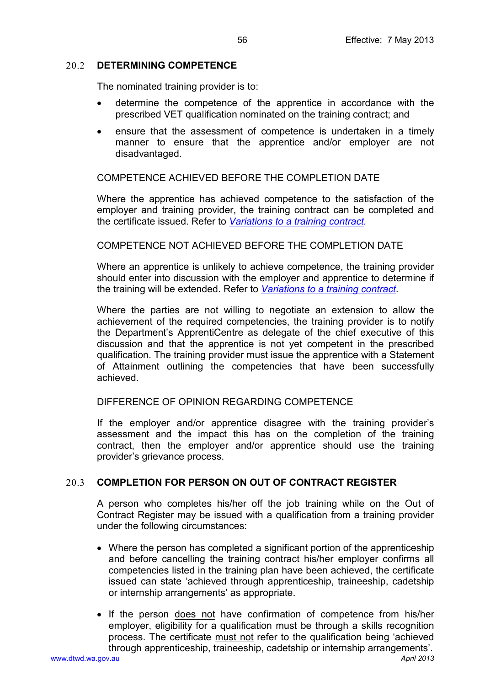## <span id="page-55-0"></span>20.2 **DETERMINING COMPETENCE**

The nominated training provider is to:

- determine the competence of the apprentice in accordance with the prescribed VET qualification nominated on the training contract; and
- ensure that the assessment of competence is undertaken in a timely manner to ensure that the apprentice and/or employer are not disadvantaged.

## <span id="page-55-1"></span>COMPETENCE ACHIEVED BEFORE THE COMPLETION DATE

Where the apprentice has achieved competence to the satisfaction of the employer and training provider, the training contract can be completed and the certificate issued. Refer to *[Variations to a training contract.](#page-31-0)*

### <span id="page-55-2"></span>COMPETENCE NOT ACHIEVED BEFORE THE COMPLETION DATE

Where an apprentice is unlikely to achieve competence, the training provider should enter into discussion with the employer and apprentice to determine if the training will be extended. Refer to *[Variations to a training contract](#page-31-0)*.

Where the parties are not willing to negotiate an extension to allow the achievement of the required competencies, the training provider is to notify the Department's ApprentiCentre as delegate of the chief executive of this discussion and that the apprentice is not yet competent in the prescribed qualification. The training provider must issue the apprentice with a Statement of Attainment outlining the competencies that have been successfully achieved.

<span id="page-55-3"></span>DIFFERENCE OF OPINION REGARDING COMPETENCE

If the employer and/or apprentice disagree with the training provider's assessment and the impact this has on the completion of the training contract, then the employer and/or apprentice should use the training provider's grievance process.

## <span id="page-55-4"></span>20.3 **COMPLETION FOR PERSON ON OUT OF CONTRACT REGISTER**

A person who completes his/her off the job training while on the Out of Contract Register may be issued with a qualification from a training provider under the following circumstances:

- Where the person has completed a significant portion of the apprenticeship and before cancelling the training contract his/her employer confirms all competencies listed in the training plan have been achieved, the certificate issued can state 'achieved through apprenticeship, traineeship, cadetship or internship arrangements' as appropriate.
- If the person does not have confirmation of competence from his/her employer, eligibility for a qualification must be through a skills recognition process. The certificate must not refer to the qualification being 'achieved through apprenticeship, traineeship, cadetship or internship arrangements'.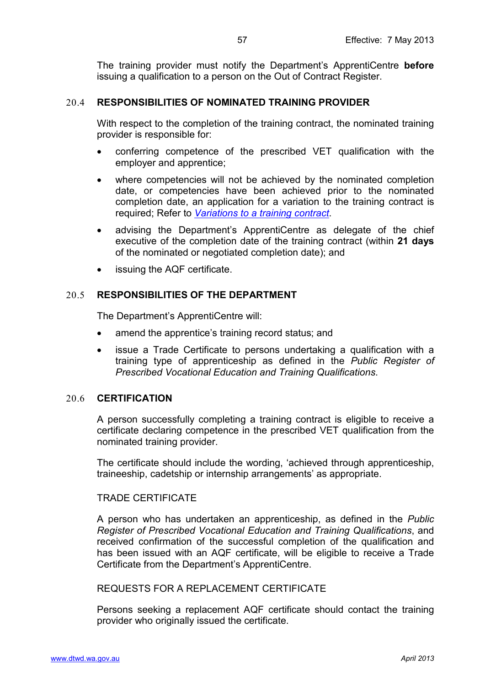The training provider must notify the Department's ApprentiCentre **before** issuing a qualification to a person on the Out of Contract Register.

#### <span id="page-56-0"></span>20.4 **RESPONSIBILITIES OF NOMINATED TRAINING PROVIDER**

With respect to the completion of the training contract, the nominated training provider is responsible for:

- conferring competence of the prescribed VET qualification with the employer and apprentice;
- where competencies will not be achieved by the nominated completion date, or competencies have been achieved prior to the nominated completion date, an application for a variation to the training contract is required; Refer to *[Variations to a training contract](#page-31-0)*.
- advising the Department's ApprentiCentre as delegate of the chief executive of the completion date of the training contract (within **21 days** of the nominated or negotiated completion date); and
- issuing the AQF certificate.

### <span id="page-56-1"></span>20.5 **RESPONSIBILITIES OF THE DEPARTMENT**

The Department's ApprentiCentre will:

- amend the apprentice's training record status; and
- issue a Trade Certificate to persons undertaking a qualification with a training type of apprenticeship as defined in the *Public Register of Prescribed Vocational Education and Training Qualifications*.

### <span id="page-56-2"></span>20.6 **CERTIFICATION**

A person successfully completing a training contract is eligible to receive a certificate declaring competence in the prescribed VET qualification from the nominated training provider.

The certificate should include the wording, 'achieved through apprenticeship, traineeship, cadetship or internship arrangements' as appropriate.

### <span id="page-56-3"></span>TRADE CERTIFICATE

A person who has undertaken an apprenticeship, as defined in the *Public Register of Prescribed Vocational Education and Training Qualifications*, and received confirmation of the successful completion of the qualification and has been issued with an AQF certificate, will be eligible to receive a Trade Certificate from the Department's ApprentiCentre.

#### <span id="page-56-4"></span>REQUESTS FOR A REPLACEMENT CERTIFICATE

Persons seeking a replacement AQF certificate should contact the training provider who originally issued the certificate.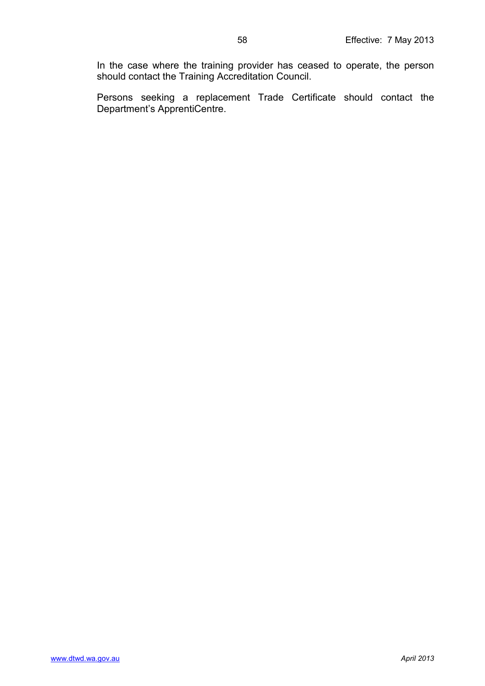In the case where the training provider has ceased to operate, the person should contact the Training Accreditation Council.

Persons seeking a replacement Trade Certificate should contact the Department's ApprentiCentre.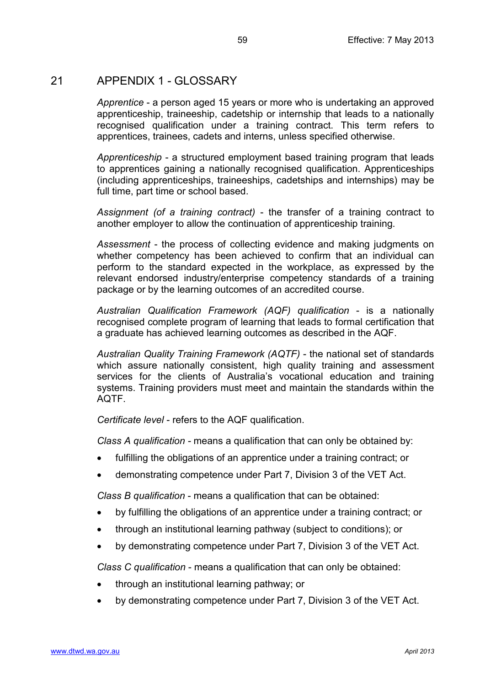## <span id="page-58-0"></span>21 APPENDIX 1 - GLOSSARY

*Apprentice* - a person aged 15 years or more who is undertaking an approved apprenticeship, traineeship, cadetship or internship that leads to a nationally recognised qualification under a training contract. This term refers to apprentices, trainees, cadets and interns, unless specified otherwise.

*Apprenticeship* - a structured employment based training program that leads to apprentices gaining a nationally recognised qualification. Apprenticeships (including apprenticeships, traineeships, cadetships and internships) may be full time, part time or school based.

*Assignment (of a training contract)* - the transfer of a training contract to another employer to allow the continuation of apprenticeship training.

*Assessment* - the process of collecting evidence and making judgments on whether competency has been achieved to confirm that an individual can perform to the standard expected in the workplace, as expressed by the relevant endorsed industry/enterprise competency standards of a training package or by the learning outcomes of an accredited course.

*Australian Qualification Framework (AQF) qualification* - is a nationally recognised complete program of learning that leads to formal certification that a graduate has achieved learning outcomes as described in the AQF.

*Australian Quality Training Framework (AQTF)* - the national set of standards which assure nationally consistent, high quality training and assessment services for the clients of Australia's vocational education and training systems. Training providers must meet and maintain the standards within the AQTF.

*Certificate level* - refers to the AQF qualification.

*Class A qualification -* means a qualification that can only be obtained by:

- fulfilling the obligations of an apprentice under a training contract; or
- demonstrating competence under Part 7, Division 3 of the VET Act.

*Class B qualification* - means a qualification that can be obtained:

- by fulfilling the obligations of an apprentice under a training contract; or
- through an institutional learning pathway (subject to conditions); or
- by demonstrating competence under Part 7, Division 3 of the VET Act.

*Class C qualification* - means a qualification that can only be obtained:

- through an institutional learning pathway; or
- by demonstrating competence under Part 7, Division 3 of the VET Act.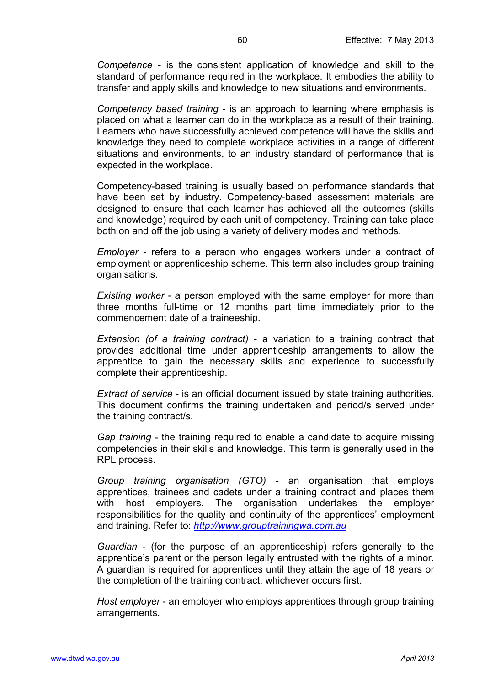*Competence* - is the consistent application of knowledge and skill to the standard of performance required in the workplace. It embodies the ability to transfer and apply skills and knowledge to new situations and environments.

*Competency based training* - is an approach to learning where emphasis is placed on what a learner can do in the workplace as a result of their training. Learners who have successfully achieved competence will have the skills and knowledge they need to complete workplace activities in a range of different situations and environments, to an industry standard of performance that is expected in the workplace.

Competency-based training is usually based on performance standards that have been set by industry. Competency-based assessment materials are designed to ensure that each learner has achieved all the outcomes (skills and knowledge) required by each unit of competency. Training can take place both on and off the job using a variety of delivery modes and methods.

*Employer* - refers to a person who engages workers under a contract of employment or apprenticeship scheme. This term also includes group training organisations.

*Existing worker* - a person employed with the same employer for more than three months full-time or 12 months part time immediately prior to the commencement date of a traineeship.

*Extension (of a training contract)* - a variation to a training contract that provides additional time under apprenticeship arrangements to allow the apprentice to gain the necessary skills and experience to successfully complete their apprenticeship.

*Extract of service* - is an official document issued by state training authorities. This document confirms the training undertaken and period/s served under the training contract/s.

*Gap training* - the training required to enable a candidate to acquire missing competencies in their skills and knowledge. This term is generally used in the RPL process.

*Group training organisation (GTO)* - an organisation that employs apprentices, trainees and cadets under a training contract and places them with host employers. The organisation undertakes the employer responsibilities for the quality and continuity of the apprentices' employment and training. Refer to: *[http://www.grouptrainingwa.com.au](http://www.grouptrainingwa.com.au/)*

*Guardian* - (for the purpose of an apprenticeship) refers generally to the apprentice's parent or the person legally entrusted with the rights of a minor. A guardian is required for apprentices until they attain the age of 18 years or the completion of the training contract, whichever occurs first.

*Host employer* - an employer who employs apprentices through group training arrangements.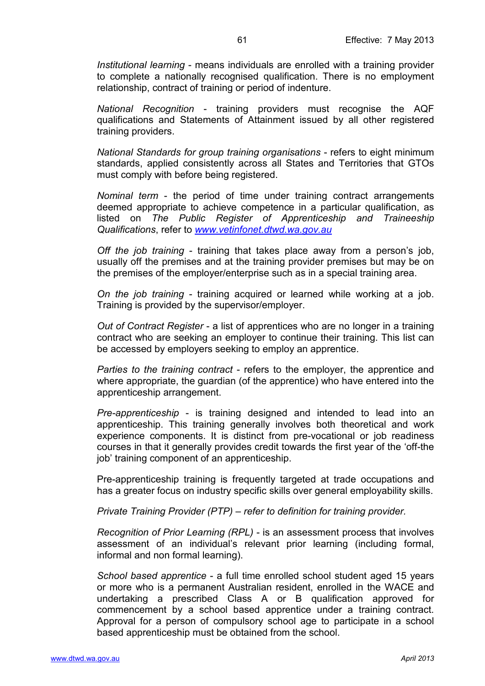*Institutional learning* - means individuals are enrolled with a training provider to complete a nationally recognised qualification. There is no employment relationship, contract of training or period of indenture.

*National Recognition* - training providers must recognise the AQF qualifications and Statements of Attainment issued by all other registered training providers.

*National Standards for group training organisations* - refers to eight minimum standards, applied consistently across all States and Territories that GTOs must comply with before being registered.

*Nominal term* - the period of time under training contract arrangements deemed appropriate to achieve competence in a particular qualification, as listed on *[The Public Register of Apprenticeship and Traineeship](http://www.vetinfonet.dtwd.wa.gov.au/VETpolicyandguidelines/Pages/ClassABRegisters.aspx)  [Qualifications](http://www.vetinfonet.dtwd.wa.gov.au/VETpolicyandguidelines/Pages/ClassABRegisters.aspx)*, refer to *[www.vetinfonet.dtwd.wa.gov.au](http://www.vetinfonet.dtwd.wa.gov.au/)*

*Off the job training* - training that takes place away from a person's job, usually off the premises and at the training provider premises but may be on the premises of the employer/enterprise such as in a special training area.

*On the job training* - training acquired or learned while working at a job. Training is provided by the supervisor/employer.

*Out of Contract Register* - a list of apprentices who are no longer in a training contract who are seeking an employer to continue their training. This list can be accessed by employers seeking to employ an apprentice.

*Parties to the training contract* - refers to the employer, the apprentice and where appropriate, the guardian (of the apprentice) who have entered into the apprenticeship arrangement.

*Pre-apprenticeship* - is training designed and intended to lead into an apprenticeship. This training generally involves both theoretical and work experience components. It is distinct from pre-vocational or job readiness courses in that it generally provides credit towards the first year of the 'off-the job' training component of an apprenticeship.

Pre-apprenticeship training is frequently targeted at trade occupations and has a greater focus on industry specific skills over general employability skills.

*Private Training Provider (PTP) – refer to definition for training provider.*

*Recognition of Prior Learning (RPL)* - is an assessment process that involves assessment of an individual's relevant prior learning (including formal, informal and non formal learning).

*School based apprentice* - a full time enrolled school student aged 15 years or more who is a permanent Australian resident, enrolled in the WACE and undertaking a prescribed Class A or B qualification approved for commencement by a school based apprentice under a training contract. Approval for a person of compulsory school age to participate in a school based apprenticeship must be obtained from the school.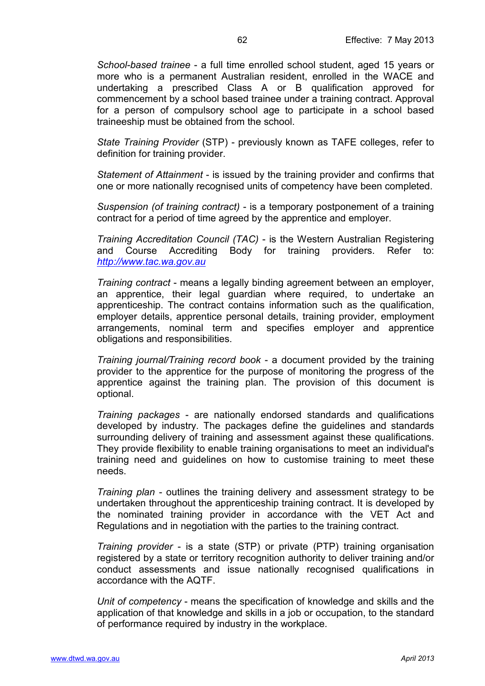*School-based trainee* - a full time enrolled school student, aged 15 years or more who is a permanent Australian resident, enrolled in the WACE and undertaking a prescribed Class A or B qualification approved for commencement by a school based trainee under a training contract. Approval for a person of compulsory school age to participate in a school based traineeship must be obtained from the school.

*State Training Provider* (STP) - previously known as TAFE colleges, refer to definition for training provider.

*Statement of Attainment* - is issued by the training provider and confirms that one or more nationally recognised units of competency have been completed.

*Suspension (of training contract)* - is a temporary postponement of a training contract for a period of time agreed by the apprentice and employer.

*Training Accreditation Council (TAC)* - is the Western Australian Registering and Course Accrediting Body for training providers. Refer to: *[http://www.tac.wa.gov.au](http://www.tac.wa.gov.au/)*

*Training contract* - means a legally binding agreement between an employer, an apprentice, their legal guardian where required, to undertake an apprenticeship. The contract contains information such as the qualification, employer details, apprentice personal details, training provider, employment arrangements, nominal term and specifies employer and apprentice obligations and responsibilities.

*Training journal/Training record book* - a document provided by the training provider to the apprentice for the purpose of monitoring the progress of the apprentice against the training plan. The provision of this document is optional.

*Training packages* - are nationally endorsed standards and qualifications developed by industry. The packages define the guidelines and standards surrounding delivery of training and assessment against these qualifications. They provide flexibility to enable training organisations to meet an individual's training need and guidelines on how to customise training to meet these needs.

*Training plan* - outlines the training delivery and assessment strategy to be undertaken throughout the apprenticeship training contract. It is developed by the nominated training provider in accordance with the VET Act and Regulations and in negotiation with the parties to the training contract.

*Training provider* - is a state (STP) or private (PTP) training organisation registered by a state or territory recognition authority to deliver training and/or conduct assessments and issue nationally recognised qualifications in accordance with the AQTF.

*Unit of competency* - means the specification of knowledge and skills and the application of that knowledge and skills in a job or occupation, to the standard of performance required by industry in the workplace.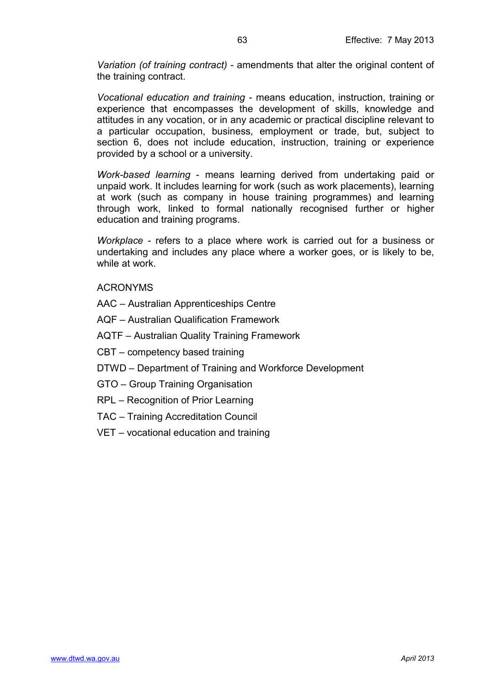*Variation (of training contract)* - amendments that alter the original content of the training contract.

*Vocational education and training* - means education, instruction, training or experience that encompasses the development of skills, knowledge and attitudes in any vocation, or in any academic or practical discipline relevant to a particular occupation, business, employment or trade, but, subject to section 6, does not include education, instruction, training or experience provided by a school or a university.

*Work-based learning* - means learning derived from undertaking paid or unpaid work. It includes learning for work (such as work placements), learning at work (such as company in house training programmes) and learning through work, linked to formal nationally recognised further or higher education and training programs.

*Workplace* - refers to a place where work is carried out for a business or undertaking and includes any place where a worker goes, or is likely to be, while at work.

<span id="page-62-0"></span>ACRONYMS

AAC – Australian Apprenticeships Centre

AQF – Australian Qualification Framework

AQTF – Australian Quality Training Framework

CBT – competency based training

DTWD – Department of Training and Workforce Development

GTO – Group Training Organisation

RPL – Recognition of Prior Learning

TAC – Training Accreditation Council

VET – vocational education and training